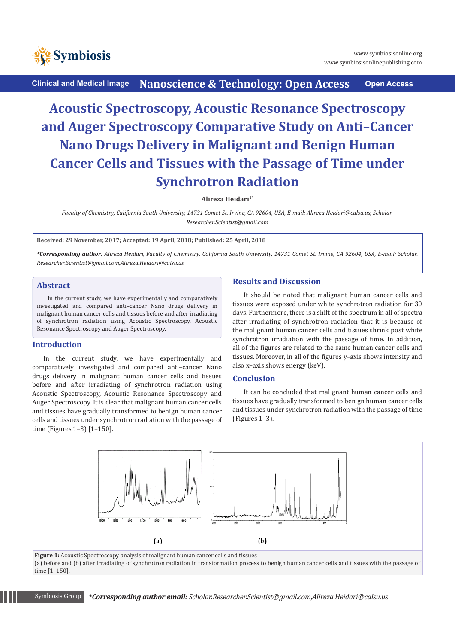

**Clinical and Medical Image Nanoscience & Technology: Open Access Open Access**

# **Acoustic Spectroscopy, Acoustic Resonance Spectroscopy and Auger Spectroscopy Comparative Study on Anti–Cancer Nano Drugs Delivery in Malignant and Benign Human Cancer Cells and Tissues with the Passage of Time under Synchrotron Radiation**

**Alireza Heidari1\***

*Faculty of Chemistry, California South University, 14731 Comet St. Irvine, CA 92604, USA, E-mail: Alireza.Heidari@calsu.us, Scholar. Researcher.Scientist@gmail.com* 

**Received: 29 November, 2017; Accepted: 19 April, 2018; Published: 25 April, 2018**

*\*Corresponding author: Alireza Heidari, Faculty of Chemistry, California South University, 14731 Comet St. Irvine, CA 92604, USA, E-mail: Scholar. Researcher.Scientist@gmail.com,Alireza.Heidari@calsu.us*

## **Abstract**

In the current study, we have experimentally and comparatively investigated and compared anti–cancer Nano drugs delivery in malignant human cancer cells and tissues before and after irradiating of synchrotron radiation using Acoustic Spectroscopy, Acoustic Resonance Spectroscopy and Auger Spectroscopy.

## **Introduction**

In the current study, we have experimentally and comparatively investigated and compared anti–cancer Nano drugs delivery in malignant human cancer cells and tissues before and after irradiating of synchrotron radiation using Acoustic Spectroscopy, Acoustic Resonance Spectroscopy and Auger Spectroscopy. It is clear that malignant human cancer cells and tissues have gradually transformed to benign human cancer cells and tissues under synchrotron radiation with the passage of time (Figures 1–3) [1–150].

## **Results and Discussion**

It should be noted that malignant human cancer cells and tissues were exposed under white synchrotron radiation for 30 days. Furthermore, there is a shift of the spectrum in all of spectra after irradiating of synchrotron radiation that it is because of the malignant human cancer cells and tissues shrink post white synchrotron irradiation with the passage of time. In addition, all of the figures are related to the same human cancer cells and tissues. Moreover, in all of the figures y–axis shows intensity and also x–axis shows energy (keV).

## **Conclusion**

It can be concluded that malignant human cancer cells and tissues have gradually transformed to benign human cancer cells and tissues under synchrotron radiation with the passage of time (Figures 1–3).



(a) before and (b) after irradiating of synchrotron radiation in transformation process to benign human cancer cells and tissues with the passage of time [1–150].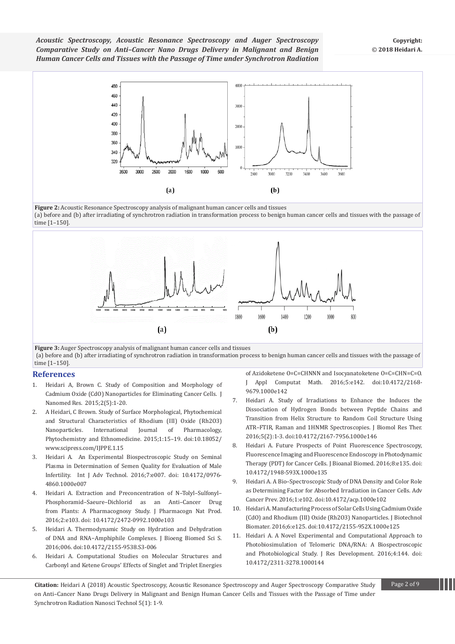

(a) before and (b) after irradiating of synchrotron radiation in transformation process to benign human cancer cells and tissues with the passage of time [1–150].



**Figure 3:** Auger Spectroscopy analysis of malignant human cancer cells and tissues (a) before and (b) after irradiating of synchrotron radiation in transformation process to benign human cancer cells and tissues with the passage of time [1–150].

#### **References**

- 1. Heidari A, Brown C. Study of Composition and Morphology of Cadmium Oxide (CdO) Nanoparticles for Eliminating Cancer Cells. J Nanomed Res. 2015;2(5):1-20.
- 2. [A Heidari, C Brown. Study of Surface Morphological, Phytochemical](https://www.scipress.com/IJPPE.1.15.pdf)  and Structural Characteristics of Rhodium (III) Oxide (Rh2O3)<br>Nanoparticles. International Journal of Pharmacology, [Nanoparticles. International Journal of Pharmacology,](https://www.scipress.com/IJPPE.1.15.pdf)  [Phytochemistry and Ethnomedicine. 2015;1:15–19. doi:10.18052/](https://www.scipress.com/IJPPE.1.15.pdf) [www.scipress.com/IJPPE.1.15](https://www.scipress.com/IJPPE.1.15.pdf)
- 3. [Heidari A. An Experimental Biospectroscopic Study on Seminal](https://www.omicsonline.org/open-access/an-experimental-biospectroscopic-study-on-seminal-plasma-in-determination-)  [Plasma in Determination of Semen Quality for Evaluation of Male](https://www.omicsonline.org/open-access/an-experimental-biospectroscopic-study-on-seminal-plasma-in-determination-)  [Infertility. Int J Adv Technol. 2016;7:e007. doi: 10.4172/0976-](https://www.omicsonline.org/open-access/an-experimental-biospectroscopic-study-on-seminal-plasma-in-determination-) [4860.1000e007](https://www.omicsonline.org/open-access/an-experimental-biospectroscopic-study-on-seminal-plasma-in-determination-)
- 4. [Heidari A. Extraction and Preconcentration of N–Tolyl–Sulfonyl–](https://www.omicsonline.org/open-access/extraction-and-preconcentration-of-ntolylsulfonylphosphoramidsaeuredichlorid-) [Phosphoramid–Saeure–Dichlorid as an Anti–Cancer Drug](https://www.omicsonline.org/open-access/extraction-and-preconcentration-of-ntolylsulfonylphosphoramidsaeuredichlorid-)  [from Plants: A Pharmacognosy Study. J Pharmacogn Nat Prod.](https://www.omicsonline.org/open-access/extraction-and-preconcentration-of-ntolylsulfonylphosphoramidsaeuredichlorid-)  [2016;2:e103. doi: 10.4172/2472-0992.1000e103](https://www.omicsonline.org/open-access/extraction-and-preconcentration-of-ntolylsulfonylphosphoramidsaeuredichlorid-)
- 5. [Heidari A. Thermodynamic Study on Hydration and Dehydration](https://www.omicsonline.org/open-access/a-thermodynamic-study-on-hydration-and-dehydration-of-dna-and-rnaamphiphile-complexes-2155-9538)  [of DNA and RNA−Amphiphile Complexes. J Bioeng Biomed Sci S.](https://www.omicsonline.org/open-access/a-thermodynamic-study-on-hydration-and-dehydration-of-dna-and-rnaamphiphile-complexes-2155-9538)  [2016;006. doi:10.4172/2155-9538.S3-006](https://www.omicsonline.org/open-access/a-thermodynamic-study-on-hydration-and-dehydration-of-dna-and-rnaamphiphile-complexes-2155-9538)
- 6. [Heidari A. Computational Studies on Molecular Structures and](https://www.omicsonline.org/open-access/computational-studies-on-molecular-structures-and-carbonyl-and-ketenegroups-effects-of-singlet)  [Carbonyl and Ketene Groups' Effects of Singlet and Triplet Energies](https://www.omicsonline.org/open-access/computational-studies-on-molecular-structures-and-carbonyl-and-ketenegroups-effects-of-singlet)

[of Azidoketene O=C=CHNNN and Isocyanatoketene O=C=CHN=C=O.](https://www.omicsonline.org/open-access/computational-studies-on-molecular-structures-and-carbonyl-and-ketenegroups-effects-of-singlet)  [J Appl Computat Math. 2016;5:e142. doi:10.4172/2168-](https://www.omicsonline.org/open-access/computational-studies-on-molecular-structures-and-carbonyl-and-ketenegroups-effects-of-singlet) [9679.1000e142](https://www.omicsonline.org/open-access/computational-studies-on-molecular-structures-and-carbonyl-and-ketenegroups-effects-of-singlet)

- 7. [Heidari A. Study of Irradiations to Enhance the Induces the](https://www.omicsonline.org/open-access/study-of-irradiations-to-enhance-the-induces-the-dissociation)  [Dissociation of Hydrogen Bonds between Peptide Chains and](https://www.omicsonline.org/open-access/study-of-irradiations-to-enhance-the-induces-the-dissociation)  [Transition from Helix Structure to Random Coil Structure Using](https://www.omicsonline.org/open-access/study-of-irradiations-to-enhance-the-induces-the-dissociation)  [ATR–FTIR, Raman and 1HNMR Spectroscopies. J Biomol Res Ther.](https://www.omicsonline.org/open-access/study-of-irradiations-to-enhance-the-induces-the-dissociation)  [2016;5\(2\):1-3. doi:10.4172/2167-7956.1000e146](https://www.omicsonline.org/open-access/study-of-irradiations-to-enhance-the-induces-the-dissociation)
- 8. [Heidari A. Future Prospects of Point Fluorescence Spectroscopy,](https://www.omicsonline.org/open-access/future-prospects-of-point-fluorescence-spectroscopy-fluorescenceimaging-and-fluorescence-endoscopy-in-photodynamic-therapy-pdt-for-1948-593X-1000e135.php?aid=70496)  [Fluorescence Imaging and Fluorescence Endoscopy in Photodynamic](https://www.omicsonline.org/open-access/future-prospects-of-point-fluorescence-spectroscopy-fluorescenceimaging-and-fluorescence-endoscopy-in-photodynamic-therapy-pdt-for-1948-593X-1000e135.php?aid=70496)  [Therapy \(PDT\) for Cancer Cells. J Bioanal Biomed. 2016;8:e135. doi:](https://www.omicsonline.org/open-access/future-prospects-of-point-fluorescence-spectroscopy-fluorescenceimaging-and-fluorescence-endoscopy-in-photodynamic-therapy-pdt-for-1948-593X-1000e135.php?aid=70496)  [10.4172/1948-593X.1000e135](https://www.omicsonline.org/open-access/future-prospects-of-point-fluorescence-spectroscopy-fluorescenceimaging-and-fluorescence-endoscopy-in-photodynamic-therapy-pdt-for-1948-593X-1000e135.php?aid=70496)
- 9. [Heidari A. A Bio–Spectroscopic Study of DNA Density and Color Role](https://www.omicsonline.org/open-access/a-biospectroscopic-study-of-dna-density-and-color-role-as-determining-factor-for-absorbed-irradiation-in-cancer-cells-acp-1000e102.php?aid=71045)  [as Determining Factor for Absorbed Irradiation in Cancer Cells. Adv](https://www.omicsonline.org/open-access/a-biospectroscopic-study-of-dna-density-and-color-role-as-determining-factor-for-absorbed-irradiation-in-cancer-cells-acp-1000e102.php?aid=71045)  [Cancer Prev. 2016;1:e102. doi:10.4172/acp.1000e102](https://www.omicsonline.org/open-access/a-biospectroscopic-study-of-dna-density-and-color-role-as-determining-factor-for-absorbed-irradiation-in-cancer-cells-acp-1000e102.php?aid=71045)
- 10. [Heidari A. Manufacturing Process of Solar Cells Using Cadmium Oxide](https://www.omicsonline.org/open-access/manufacturing-process-of-solar-cells-using-cadmium-oxide-cdo-and-rhodium-iii-oxide-rh2o3-nanoparticles-2155-952X-1000e125.php?aid=71790)  [\(CdO\) and Rhodium \(III\) Oxide \(Rh2O3\) Nanoparticles. J Biotechnol](https://www.omicsonline.org/open-access/manufacturing-process-of-solar-cells-using-cadmium-oxide-cdo-and-rhodium-iii-oxide-rh2o3-nanoparticles-2155-952X-1000e125.php?aid=71790)  [Biomater. 2016;6:e125. doi:10.4172/2155-952X.1000e125](https://www.omicsonline.org/open-access/manufacturing-process-of-solar-cells-using-cadmium-oxide-cdo-and-rhodium-iii-oxide-rh2o3-nanoparticles-2155-952X-1000e125.php?aid=71790)
- 11. [Heidari A. A Novel Experimental and Computational Approach to](https://www.omicsonline.org/open-access/a-novel-experimental-and-computational-approach-to-photobiosimulation-of-telomeric-dnarna-a-biospectroscopic-and-photobiological-s-jrd-1000144.php?aid=71949)  [Photobiosimulation of Telomeric DNA/RNA: A Biospectroscopic](https://www.omicsonline.org/open-access/a-novel-experimental-and-computational-approach-to-photobiosimulation-of-telomeric-dnarna-a-biospectroscopic-and-photobiological-s-jrd-1000144.php?aid=71949)  [and Photobiological Study. J Res Development. 2016;4:144. doi:](https://www.omicsonline.org/open-access/a-novel-experimental-and-computational-approach-to-photobiosimulation-of-telomeric-dnarna-a-biospectroscopic-and-photobiological-s-jrd-1000144.php?aid=71949)  [10.4172/2311-3278.1000144](https://www.omicsonline.org/open-access/a-novel-experimental-and-computational-approach-to-photobiosimulation-of-telomeric-dnarna-a-biospectroscopic-and-photobiological-s-jrd-1000144.php?aid=71949)

**Citation:** Heidari A (2018) Acoustic Spectroscopy, Acoustic Resonance Spectroscopy and Auger Spectroscopy Comparative Study Page 2 of 9 on Anti–Cancer Nano Drugs Delivery in Malignant and Benign Human Cancer Cells and Tissues with the Passage of Time under Synchrotron Radiation Nanosci Technol 5(1): 1-9.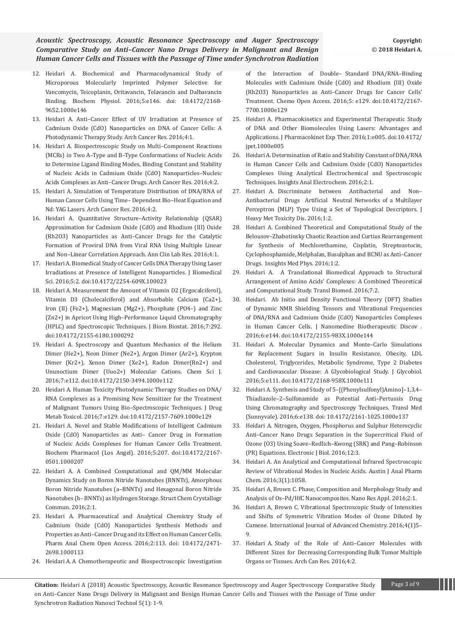- 12. [Heidari A. Biochemical and Pharmacodynamical Study of](https://www.omicsonline.org/open-access/biochemical-and-pharmacodynamical-study-of-microporous-molecularlyimprinted-polymer-selective-for-vancomycin-teicoplanin-oritavanc-2168-9652-1000e146.php?aid=70970)  [Microporous Molecularly Imprinted Polymer Selective for](https://www.omicsonline.org/open-access/biochemical-and-pharmacodynamical-study-of-microporous-molecularlyimprinted-polymer-selective-for-vancomycin-teicoplanin-oritavanc-2168-9652-1000e146.php?aid=70970)  [Vancomycin, Teicoplanin, Oritavancin, Telavancin and Dalbavancin](https://www.omicsonline.org/open-access/biochemical-and-pharmacodynamical-study-of-microporous-molecularlyimprinted-polymer-selective-for-vancomycin-teicoplanin-oritavanc-2168-9652-1000e146.php?aid=70970)  [Binding. Biochem Physiol. 2016;5:e146. doi: 10.4172/2168-](https://www.omicsonline.org/open-access/biochemical-and-pharmacodynamical-study-of-microporous-molecularlyimprinted-polymer-selective-for-vancomycin-teicoplanin-oritavanc-2168-9652-1000e146.php?aid=70970) [9652.1000e146](https://www.omicsonline.org/open-access/biochemical-and-pharmacodynamical-study-of-microporous-molecularlyimprinted-polymer-selective-for-vancomycin-teicoplanin-oritavanc-2168-9652-1000e146.php?aid=70970)
- 13. [Heidari A. Anti–Cancer Effect of UV Irradiation at Presence of](http://www.acanceresearch.com/cancer-research/anticancer-effect-of-uv-irradiation-at-presence-of-cadmium-oxide-cdo-nanoparticles-on-dna-of-cancer-cells-a-photodynamic-therapy-s.pdf)  [Cadmium Oxide \(CdO\) Nanoparticles on DNA of Cancer Cells: A](http://www.acanceresearch.com/cancer-research/anticancer-effect-of-uv-irradiation-at-presence-of-cadmium-oxide-cdo-nanoparticles-on-dna-of-cancer-cells-a-photodynamic-therapy-s.pdf)  [Photodynamic Therapy Study. Arch Cancer Res. 2016;4:1.](http://www.acanceresearch.com/cancer-research/anticancer-effect-of-uv-irradiation-at-presence-of-cadmium-oxide-cdo-nanoparticles-on-dna-of-cancer-cells-a-photodynamic-therapy-s.pdf)
- 14. [Heidari A. Biospectroscopic Study on Multi–Component Reactions](http://www.acanceresearch.com/cancer-research/biospectroscopic-study-on-multicomponent-reactions-mcrs-in-two-atype-and-btype-conformations-of-nucleic-acids-to-determine-ligand.php?aid=9093)  [\(MCRs\) in Two A–Type and B–Type Conformations of Nucleic Acids](http://www.acanceresearch.com/cancer-research/biospectroscopic-study-on-multicomponent-reactions-mcrs-in-two-atype-and-btype-conformations-of-nucleic-acids-to-determine-ligand.php?aid=9093)  [to Determine Ligand Binding Modes, Binding Constant and Stability](http://www.acanceresearch.com/cancer-research/biospectroscopic-study-on-multicomponent-reactions-mcrs-in-two-atype-and-btype-conformations-of-nucleic-acids-to-determine-ligand.php?aid=9093)  [of Nucleic Acids in Cadmium Oxide \(CdO\) Nanoparticles–Nucleic](http://www.acanceresearch.com/cancer-research/biospectroscopic-study-on-multicomponent-reactions-mcrs-in-two-atype-and-btype-conformations-of-nucleic-acids-to-determine-ligand.php?aid=9093)  [Acids Complexes as Anti–Cancer Drugs. Arch Cancer Res. 2016;4:2.](http://www.acanceresearch.com/cancer-research/biospectroscopic-study-on-multicomponent-reactions-mcrs-in-two-atype-and-btype-conformations-of-nucleic-acids-to-determine-ligand.php?aid=9093)
- 15. [Heidari A. Simulation of Temperature Distribution of DNA/RNA of](http://www.acanceresearch.com/cancer-research/simulation-of-temperature-distribution-of-dnarna-of-human-cancer-cells-using-timedependent-bioheat-equation-andnd-yag-lasers.pdf)  [Human Cancer Cells Using Time– Dependent Bio–Heat Equation and](http://www.acanceresearch.com/cancer-research/simulation-of-temperature-distribution-of-dnarna-of-human-cancer-cells-using-timedependent-bioheat-equation-andnd-yag-lasers.pdf)  [Nd: YAG Lasers. Arch Cancer Res. 2016;4:2.](http://www.acanceresearch.com/cancer-research/simulation-of-temperature-distribution-of-dnarna-of-human-cancer-cells-using-timedependent-bioheat-equation-andnd-yag-lasers.pdf)
- 16. [Heidari A. Quantitative Structure–Activity Relationship \(QSAR\)](http://www.aclr.com.es/clinical-research/quantitative-structureactivity-relationship-qsar-approximation-for-cadmium-oxide-cdo-and-rhodium-iii-oxide-rh2o3-nanoparticles-as.php?aid=8882)  [Approximation for Cadmium Oxide \(CdO\) and Rhodium \(III\) Oxide](http://www.aclr.com.es/clinical-research/quantitative-structureactivity-relationship-qsar-approximation-for-cadmium-oxide-cdo-and-rhodium-iii-oxide-rh2o3-nanoparticles-as.php?aid=8882)  [\(Rh2O3\) Nanoparticles as Anti–Cancer Drugs for the Catalytic](http://www.aclr.com.es/clinical-research/quantitative-structureactivity-relationship-qsar-approximation-for-cadmium-oxide-cdo-and-rhodium-iii-oxide-rh2o3-nanoparticles-as.php?aid=8882)  [Formation of Proviral DNA from Viral RNA Using Multiple Linear](http://www.aclr.com.es/clinical-research/quantitative-structureactivity-relationship-qsar-approximation-for-cadmium-oxide-cdo-and-rhodium-iii-oxide-rh2o3-nanoparticles-as.php?aid=8882)  [and Non–Linear Correlation Approach. Ann Clin Lab Res. 2016;4:1.](http://www.aclr.com.es/clinical-research/quantitative-structureactivity-relationship-qsar-approximation-for-cadmium-oxide-cdo-and-rhodium-iii-oxide-rh2o3-nanoparticles-as.php?aid=8882)
- 17. [Heidari A. Biomedical Study of Cancer Cells DNA Therapy Using Laser](http://www.jbiomeds.com/biomedical-sciences/biomedical-study-of-cancer-cells-dna-therapy-using-laser-irradiations-at-presence-of-intelligent-nanoparticles.php?aid=9049)  [Irradiations at Presence of Intelligent Nanoparticles. J Biomedical](http://www.jbiomeds.com/biomedical-sciences/biomedical-study-of-cancer-cells-dna-therapy-using-laser-irradiations-at-presence-of-intelligent-nanoparticles.php?aid=9049)  [Sci. 2016;5:2. doi:10.4172/2254-609X.100023](http://www.jbiomeds.com/biomedical-sciences/biomedical-study-of-cancer-cells-dna-therapy-using-laser-irradiations-at-presence-of-intelligent-nanoparticles.php?aid=9049)
- 18. [Heidari A. Measurement the Amount of Vitamin D2 \(Ergocalciferol\),](https://www.omicsonline.org/open-access/measurement-the-amount-of-vitamin-d2-ergocalciferol-vitamin-d3cholecalciferol-and-absorbable-calcium-ca2-iron-ii-fe2magnesium-mg2-2155-6180-1000292.php?aid=72126)  [Vitamin D3 \(Cholecalciferol\) and Absorbable Calcium \(Ca2+\),](https://www.omicsonline.org/open-access/measurement-the-amount-of-vitamin-d2-ergocalciferol-vitamin-d3cholecalciferol-and-absorbable-calcium-ca2-iron-ii-fe2magnesium-mg2-2155-6180-1000292.php?aid=72126)  [Iron \(II\) \(Fe2+\), Magnesium \(Mg2+\), Phosphate \(PO4–\) and Zinc](https://www.omicsonline.org/open-access/measurement-the-amount-of-vitamin-d2-ergocalciferol-vitamin-d3cholecalciferol-and-absorbable-calcium-ca2-iron-ii-fe2magnesium-mg2-2155-6180-1000292.php?aid=72126)  [\(Zn2+\) in Apricot Using High–Performance Liquid Chromatography](https://www.omicsonline.org/open-access/measurement-the-amount-of-vitamin-d2-ergocalciferol-vitamin-d3cholecalciferol-and-absorbable-calcium-ca2-iron-ii-fe2magnesium-mg2-2155-6180-1000292.php?aid=72126)  [\(HPLC\) and Spectroscopic Techniques. J Biom Biostat. 2016;7:292.](https://www.omicsonline.org/open-access/measurement-the-amount-of-vitamin-d2-ergocalciferol-vitamin-d3cholecalciferol-and-absorbable-calcium-ca2-iron-ii-fe2magnesium-mg2-2155-6180-1000292.php?aid=72126)  [doi:10.4172/2155-6180.1000292](https://www.omicsonline.org/open-access/measurement-the-amount-of-vitamin-d2-ergocalciferol-vitamin-d3cholecalciferol-and-absorbable-calcium-ca2-iron-ii-fe2magnesium-mg2-2155-6180-1000292.php?aid=72126)
- 19. [Heidari A. Spectroscopy and Quantum Mechanics of the Helium](https://www.omicsonline.org/open-access/spectroscopy-and-quantum-mechanics-of-the-helium-dimer-he2-neon-dimer-ne2-argon-dimer-ar2-krypton-dimer-kr2-xenon-dimer-xe2-radon-2150-3494-1000e112.php?aid=72392)  [Dimer \(He2+\), Neon Dimer \(Ne2+\), Argon Dimer \(Ar2+\), Krypton](https://www.omicsonline.org/open-access/spectroscopy-and-quantum-mechanics-of-the-helium-dimer-he2-neon-dimer-ne2-argon-dimer-ar2-krypton-dimer-kr2-xenon-dimer-xe2-radon-2150-3494-1000e112.php?aid=72392)  [Dimer \(Kr2+\), Xenon Dimer \(Xe2+\), Radon Dimer\(Rn2+\) and](https://www.omicsonline.org/open-access/spectroscopy-and-quantum-mechanics-of-the-helium-dimer-he2-neon-dimer-ne2-argon-dimer-ar2-krypton-dimer-kr2-xenon-dimer-xe2-radon-2150-3494-1000e112.php?aid=72392)  [Ununoctium Dimer \(Uuo2+\) Molecular Cations. Chem Sci J.](https://www.omicsonline.org/open-access/spectroscopy-and-quantum-mechanics-of-the-helium-dimer-he2-neon-dimer-ne2-argon-dimer-ar2-krypton-dimer-kr2-xenon-dimer-xe2-radon-2150-3494-1000e112.php?aid=72392)  [2016;7:e112. doi:10.4172/2150-3494.1000e112](https://www.omicsonline.org/open-access/spectroscopy-and-quantum-mechanics-of-the-helium-dimer-he2-neon-dimer-ne2-argon-dimer-ar2-krypton-dimer-kr2-xenon-dimer-xe2-radon-2150-3494-1000e112.php?aid=72392)
- 20. [Heidari A. Human Toxicity Photodynamic Therapy Studies on DNA/](https://www.omicsonline.org/open-access/human-toxicity-photodynamic-therapy-studies-on-dnarna-complexesas-a-promising-new-sensitizer-for-the-treatment-of-malignant-tumors-2157-7609-1000e129.php?aid=73041) [RNA Complexes as a Promising New Sensitizer for the Treatment](https://www.omicsonline.org/open-access/human-toxicity-photodynamic-therapy-studies-on-dnarna-complexesas-a-promising-new-sensitizer-for-the-treatment-of-malignant-tumors-2157-7609-1000e129.php?aid=73041)  [of Malignant Tumors Using Bio–Spectroscopic Techniques. J Drug](https://www.omicsonline.org/open-access/human-toxicity-photodynamic-therapy-studies-on-dnarna-complexesas-a-promising-new-sensitizer-for-the-treatment-of-malignant-tumors-2157-7609-1000e129.php?aid=73041)  [Metab Toxicol. 2016;7:e129. doi:10.4172/2157-7609.1000e129](https://www.omicsonline.org/open-access/human-toxicity-photodynamic-therapy-studies-on-dnarna-complexesas-a-promising-new-sensitizer-for-the-treatment-of-malignant-tumors-2157-7609-1000e129.php?aid=73041)
- 21. [Heidari A. Novel and Stable Modifications of Intelligent Cadmium](https://www.omicsonline.org/open-access/novel-and-stable-modifications-of-intelligent-cadmium-oxide-cdonanoparticles-as-anticancer-drug-in-formation-of-nucleic-acidscompl-2167-0501-1000207.php?aid=73082)  [Oxide \(CdO\) Nanoparticles as Anti– Cancer Drug in Formation](https://www.omicsonline.org/open-access/novel-and-stable-modifications-of-intelligent-cadmium-oxide-cdonanoparticles-as-anticancer-drug-in-formation-of-nucleic-acidscompl-2167-0501-1000207.php?aid=73082)  [of Nucleic Acids Complexes for Human Cancer Cells Treatment.](https://www.omicsonline.org/open-access/novel-and-stable-modifications-of-intelligent-cadmium-oxide-cdonanoparticles-as-anticancer-drug-in-formation-of-nucleic-acidscompl-2167-0501-1000207.php?aid=73082)  [Biochem Pharmacol \(Los Angel\). 2016;5:207. doi:10.4172/2167-](https://www.omicsonline.org/open-access/novel-and-stable-modifications-of-intelligent-cadmium-oxide-cdonanoparticles-as-anticancer-drug-in-formation-of-nucleic-acidscompl-2167-0501-1000207.php?aid=73082) [0501.1000207](https://www.omicsonline.org/open-access/novel-and-stable-modifications-of-intelligent-cadmium-oxide-cdonanoparticles-as-anticancer-drug-in-formation-of-nucleic-acidscompl-2167-0501-1000207.php?aid=73082)
- 22. [Heidari A. A Combined Computational and QM/MM Molecular](https://structural-crystallography.imedpub.com/a-combined-computational-and-qmmmmolecular-dynamics-study-on-boron-nitridenanotubes-bnnts-amorphous-boronnitride-nanotubes-abnnts.php?aid=9371)  [Dynamics Study on Boron Nitride Nanotubes \(BNNTs\), Amorphous](https://structural-crystallography.imedpub.com/a-combined-computational-and-qmmmmolecular-dynamics-study-on-boron-nitridenanotubes-bnnts-amorphous-boronnitride-nanotubes-abnnts.php?aid=9371)  [Boron Nitride Nanotubes \(a–BNNTs\) and Hexagonal Boron Nitride](https://structural-crystallography.imedpub.com/a-combined-computational-and-qmmmmolecular-dynamics-study-on-boron-nitridenanotubes-bnnts-amorphous-boronnitride-nanotubes-abnnts.php?aid=9371)  [Nanotubes \(h– BNNTs\) as Hydrogen Storage. Struct Chem Crystallogr](https://structural-crystallography.imedpub.com/a-combined-computational-and-qmmmmolecular-dynamics-study-on-boron-nitridenanotubes-bnnts-amorphous-boronnitride-nanotubes-abnnts.php?aid=9371)  [Commun. 2016;2:1.](https://structural-crystallography.imedpub.com/a-combined-computational-and-qmmmmolecular-dynamics-study-on-boron-nitridenanotubes-bnnts-amorphous-boronnitride-nanotubes-abnnts.php?aid=9371)
- 23. [Heidari A. Pharmaceutical and Analytical Chemistry Study of](https://www.omicsonline.org/open-access/pharmaceutical-and-analytical-chemistry-study-of-cadmium-oxide-cdonanoparticles-synthesis-methods-and-properties-as-anticancer-dru-2471-2698-1000113.php?aid=73658)  [Cadmium Oxide \(CdO\) Nanoparticles Synthesis Methods and](https://www.omicsonline.org/open-access/pharmaceutical-and-analytical-chemistry-study-of-cadmium-oxide-cdonanoparticles-synthesis-methods-and-properties-as-anticancer-dru-2471-2698-1000113.php?aid=73658)  [Properties as Anti–Cancer Drug and its Effect on Human Cancer Cells.](https://www.omicsonline.org/open-access/pharmaceutical-and-analytical-chemistry-study-of-cadmium-oxide-cdonanoparticles-synthesis-methods-and-properties-as-anticancer-dru-2471-2698-1000113.php?aid=73658)  [Pharm Anal Chem Open Access. 2016;2:113. doi: 10.4172/2471-](https://www.omicsonline.org/open-access/pharmaceutical-and-analytical-chemistry-study-of-cadmium-oxide-cdonanoparticles-synthesis-methods-and-properties-as-anticancer-dru-2471-2698-1000113.php?aid=73658) [2698.1000113](https://www.omicsonline.org/open-access/pharmaceutical-and-analytical-chemistry-study-of-cadmium-oxide-cdonanoparticles-synthesis-methods-and-properties-as-anticancer-dru-2471-2698-1000113.php?aid=73658)
- 24. [Heidari A. A Chemotherapeutic and Biospectroscopic Investigation](https://www.omicsonline.org/open-access/a-chemotherapeutic-and-biospectroscopic-investigation-of-the-interaction-of-doublestandard-dnarnabinding-molecules-with-cadmium-ox-2167-7700-1000e129.php?aid=73647)

[of the Interaction of Double– Standard DNA/RNA–Binding](https://www.omicsonline.org/open-access/a-chemotherapeutic-and-biospectroscopic-investigation-of-the-interaction-of-doublestandard-dnarnabinding-molecules-with-cadmium-ox-2167-7700-1000e129.php?aid=73647)  [Molecules with Cadmium Oxide \(CdO\) and Rhodium \(III\) Oxide](https://www.omicsonline.org/open-access/a-chemotherapeutic-and-biospectroscopic-investigation-of-the-interaction-of-doublestandard-dnarnabinding-molecules-with-cadmium-ox-2167-7700-1000e129.php?aid=73647)  [\(Rh2O3\) Nanoparticles as Anti–Cancer Drugs for Cancer Cells'](https://www.omicsonline.org/open-access/a-chemotherapeutic-and-biospectroscopic-investigation-of-the-interaction-of-doublestandard-dnarnabinding-molecules-with-cadmium-ox-2167-7700-1000e129.php?aid=73647)  [Treatment. Chemo Open Access. 2016;5: e129. doi:10.4172/2167-](https://www.omicsonline.org/open-access/a-chemotherapeutic-and-biospectroscopic-investigation-of-the-interaction-of-doublestandard-dnarnabinding-molecules-with-cadmium-ox-2167-7700-1000e129.php?aid=73647) [7700.1000e129](https://www.omicsonline.org/open-access/a-chemotherapeutic-and-biospectroscopic-investigation-of-the-interaction-of-doublestandard-dnarnabinding-molecules-with-cadmium-ox-2167-7700-1000e129.php?aid=73647)

- 25. [Heidari A. Pharmacokinetics and Experimental Therapeutic Study](https://www.omicsonline.org/open-access/pharmacokinetics-and-experimental-therapeutic-study-of-dna-and-otherbiomolecules-using-lasers-advantages-and-applications-jpet-1000e005.php?aid=73561)  [of DNA and Other Biomolecules Using Lasers: Advantages and](https://www.omicsonline.org/open-access/pharmacokinetics-and-experimental-therapeutic-study-of-dna-and-otherbiomolecules-using-lasers-advantages-and-applications-jpet-1000e005.php?aid=73561)  [Applications. J Pharmacokinet Exp Ther. 2016;1:e005. doi:10.4172/](https://www.omicsonline.org/open-access/pharmacokinetics-and-experimental-therapeutic-study-of-dna-and-otherbiomolecules-using-lasers-advantages-and-applications-jpet-1000e005.php?aid=73561) [jpet.1000e005](https://www.omicsonline.org/open-access/pharmacokinetics-and-experimental-therapeutic-study-of-dna-and-otherbiomolecules-using-lasers-advantages-and-applications-jpet-1000e005.php?aid=73561)
- 26. [Heidari A. Determination of Ratio and Stability Constant of DNA/RNA](https://electroanalytical.imedpub.com/determination-of-ratio-and-stability-constant-of-dnarna-in-human-cancer-cells-and-cadmium-oxide-cdo-nanoparticles-complexes-using.php?aid=9416)  [in Human Cancer Cells and Cadmium Oxide \(CdO\) Nanoparticles](https://electroanalytical.imedpub.com/determination-of-ratio-and-stability-constant-of-dnarna-in-human-cancer-cells-and-cadmium-oxide-cdo-nanoparticles-complexes-using.php?aid=9416)  [Complexes Using Analytical Electrochemical and Spectroscopic](https://electroanalytical.imedpub.com/determination-of-ratio-and-stability-constant-of-dnarna-in-human-cancer-cells-and-cadmium-oxide-cdo-nanoparticles-complexes-using.php?aid=9416)  [Techniques. Insights Anal Electrochem. 2016;2:1.](https://electroanalytical.imedpub.com/determination-of-ratio-and-stability-constant-of-dnarna-in-human-cancer-cells-and-cadmium-oxide-cdo-nanoparticles-complexes-using.php?aid=9416)
- 27. [Heidari A. Discriminate between Antibacterial and Non–](http://heavy-metal-toxicity-diseases.imedpub.com/discriminate-between-antibacterial-andnonantibacterial-drugs-artificial-neutralnetworks-of-a-multilayer-perceptron-mlptype-using-a.pdf) [Antibacterial Drugs Artificial Neutral Networks of a Multilayer](http://heavy-metal-toxicity-diseases.imedpub.com/discriminate-between-antibacterial-andnonantibacterial-drugs-artificial-neutralnetworks-of-a-multilayer-perceptron-mlptype-using-a.pdf)  [Perceptron \(MLP\) Type Using a Set of Topological Descriptors. J](http://heavy-metal-toxicity-diseases.imedpub.com/discriminate-between-antibacterial-andnonantibacterial-drugs-artificial-neutralnetworks-of-a-multilayer-perceptron-mlptype-using-a.pdf)  [Heavy Met Toxicity Dis. 2016;1:2.](http://heavy-metal-toxicity-diseases.imedpub.com/discriminate-between-antibacterial-andnonantibacterial-drugs-artificial-neutralnetworks-of-a-multilayer-perceptron-mlptype-using-a.pdf)
- 28. [Heidari A. Combined Theoretical and Computational Study of the](https://medicalphysics.imedpub.com/combined-theoretical-and-computationalstudy-of-the-belousovzhabotinsky-chaoticreaction-and-curtius-rearrangement-forsynthesis-of-m.pdf)  [Belousov–Zhabotinsky Chaotic Reaction and Curtius Rearrangement](https://medicalphysics.imedpub.com/combined-theoretical-and-computationalstudy-of-the-belousovzhabotinsky-chaoticreaction-and-curtius-rearrangement-forsynthesis-of-m.pdf)  [for Synthesis of Mechlorethamine, Cisplatin, Streptozotocin,](https://medicalphysics.imedpub.com/combined-theoretical-and-computationalstudy-of-the-belousovzhabotinsky-chaoticreaction-and-curtius-rearrangement-forsynthesis-of-m.pdf)  [Cyclophosphamide, Melphalan, Busulphan and BCNU as Anti–Cancer](https://medicalphysics.imedpub.com/combined-theoretical-and-computationalstudy-of-the-belousovzhabotinsky-chaoticreaction-and-curtius-rearrangement-forsynthesis-of-m.pdf)  [Drugs. Insights Med Phys. 2016;1:2.](https://medicalphysics.imedpub.com/combined-theoretical-and-computationalstudy-of-the-belousovzhabotinsky-chaoticreaction-and-curtius-rearrangement-forsynthesis-of-m.pdf)
- 29. [Heidari A. A Translational Biomedical Approach to Structural](http://www.transbiomedicine.com/translational-biomedicine/a-translational-biomedical-approach-to-structural-arrangement-of-amino-acids-complexes-a-combined-theoretical-and-computational-st.php?aid=9653)  [Arrangement of Amino Acids' Complexes: A Combined Theoretical](http://www.transbiomedicine.com/translational-biomedicine/a-translational-biomedical-approach-to-structural-arrangement-of-amino-acids-complexes-a-combined-theoretical-and-computational-st.php?aid=9653)  [and Computational Study. Transl Biomed. 2016;7:2.](http://www.transbiomedicine.com/translational-biomedicine/a-translational-biomedical-approach-to-structural-arrangement-of-amino-acids-complexes-a-combined-theoretical-and-computational-st.php?aid=9653)
- 30. [Heidari. Ab Initio and Density Functional Theory \(DFT\) Studies](https://www.omicsonline.org/open-access/ab-initio-and-density-functional-theory-dft-studies-of-dynamic-nmrshielding-tensors-and-vibrational-frequencies-of-dnarna-andcadmi-2155-983X-1000e144.php?aid=74217)  [of Dynamic NMR Shielding Tensors and Vibrational Frequencies](https://www.omicsonline.org/open-access/ab-initio-and-density-functional-theory-dft-studies-of-dynamic-nmrshielding-tensors-and-vibrational-frequencies-of-dnarna-andcadmi-2155-983X-1000e144.php?aid=74217)  [of DNA/RNA and Cadmium Oxide \(CdO\) Nanoparticles Complexes](https://www.omicsonline.org/open-access/ab-initio-and-density-functional-theory-dft-studies-of-dynamic-nmrshielding-tensors-and-vibrational-frequencies-of-dnarna-andcadmi-2155-983X-1000e144.php?aid=74217)  [in Human Cancer Cells. J Nanomedine Biotherapeutic Discov .](https://www.omicsonline.org/open-access/ab-initio-and-density-functional-theory-dft-studies-of-dynamic-nmrshielding-tensors-and-vibrational-frequencies-of-dnarna-andcadmi-2155-983X-1000e144.php?aid=74217)  [2016;6:e144. doi:10.4172/2155-983X.1000e144](https://www.omicsonline.org/open-access/ab-initio-and-density-functional-theory-dft-studies-of-dynamic-nmrshielding-tensors-and-vibrational-frequencies-of-dnarna-andcadmi-2155-983X-1000e144.php?aid=74217)
- 31. [Heidari A. Molecular Dynamics and Monte–Carlo Simulations](https://www.omicsonline.org/open-access/molecular-dynamics-and-montecarlo-simulations-for-replacement-sugars-ininsulin-resistance-obesity-ldl-cholesterol-triglycerides-me-2168-958X-1000e111.php?aid=74707)  [for Replacement Sugars in Insulin Resistance, Obesity, LDL](https://www.omicsonline.org/open-access/molecular-dynamics-and-montecarlo-simulations-for-replacement-sugars-ininsulin-resistance-obesity-ldl-cholesterol-triglycerides-me-2168-958X-1000e111.php?aid=74707)  [Cholesterol, Triglycerides, Metabolic Syndrome, Type 2 Diabetes](https://www.omicsonline.org/open-access/molecular-dynamics-and-montecarlo-simulations-for-replacement-sugars-ininsulin-resistance-obesity-ldl-cholesterol-triglycerides-me-2168-958X-1000e111.php?aid=74707)  [and Cardiovascular Disease: A Glycobiological Study. J Glycobiol.](https://www.omicsonline.org/open-access/molecular-dynamics-and-montecarlo-simulations-for-replacement-sugars-ininsulin-resistance-obesity-ldl-cholesterol-triglycerides-me-2168-958X-1000e111.php?aid=74707)  [2016;5:e111. doi:10.4172/2168-958X.1000e111](https://www.omicsonline.org/open-access/molecular-dynamics-and-montecarlo-simulations-for-replacement-sugars-ininsulin-resistance-obesity-ldl-cholesterol-triglycerides-me-2168-958X-1000e111.php?aid=74707)
- 32. [Heidari A. Synthesis and Study of 5–\[\(Phenylsulfonyl\)Amino\]–1,3,4–](https://www.omicsonline.org/open-access/synthesis-and-study-of-5phenylsulfonylamino134thiadiazole2sulfonamide-as-potential-antipertussis-drug-using-chromatography-and-spe-2161-1025-1000e137.php?aid=75143) [Thiadiazole–2–Sulfonamide as Potential Anti–Pertussis Drug](https://www.omicsonline.org/open-access/synthesis-and-study-of-5phenylsulfonylamino134thiadiazole2sulfonamide-as-potential-antipertussis-drug-using-chromatography-and-spe-2161-1025-1000e137.php?aid=75143)  [Using Chromatography and Spectroscopy Techniques. Transl Med](https://www.omicsonline.org/open-access/synthesis-and-study-of-5phenylsulfonylamino134thiadiazole2sulfonamide-as-potential-antipertussis-drug-using-chromatography-and-spe-2161-1025-1000e137.php?aid=75143)  [\(Sunnyvale\). 2016;6:e138. doi: 10.4172/2161-1025.1000e137](https://www.omicsonline.org/open-access/synthesis-and-study-of-5phenylsulfonylamino134thiadiazole2sulfonamide-as-potential-antipertussis-drug-using-chromatography-and-spe-2161-1025-1000e137.php?aid=75143)
- 33. [Heidari A. Nitrogen, Oxygen, Phosphorus and Sulphur Heterocyclic](http://ejbio.imedpub.com/nitrogen-oxygen-phosphorus-and-sulphur-heterocyclicanti-cancer-nano-drugs-separation-in-the-supercritical-fluidof-ozone-o3-using-s.php?aid=9768)  [Anti–Cancer Nano Drugs Separation in the Supercritical Fluid of](http://ejbio.imedpub.com/nitrogen-oxygen-phosphorus-and-sulphur-heterocyclicanti-cancer-nano-drugs-separation-in-the-supercritical-fluidof-ozone-o3-using-s.php?aid=9768)  [Ozone \(O3\) Using Soave–Redlich–Kwong \(SRK\) and Pang–Robinson](http://ejbio.imedpub.com/nitrogen-oxygen-phosphorus-and-sulphur-heterocyclicanti-cancer-nano-drugs-separation-in-the-supercritical-fluidof-ozone-o3-using-s.php?aid=9768)  [\(PR\) Equations. Electronic J Biol. 2016;12:3.](http://ejbio.imedpub.com/nitrogen-oxygen-phosphorus-and-sulphur-heterocyclicanti-cancer-nano-drugs-separation-in-the-supercritical-fluidof-ozone-o3-using-s.php?aid=9768)
- 34. Heidari A. An Analytical and Computational Infrared Spectroscopic Review of Vibrational Modes in Nucleic Acids. Austin J Anal Pharm Chem. 2016;3(1):1058.
- 35. [Heidari A, Brown C. Phase, Composition and Morphology Study and](http://nanotechnology.imedpub.com/phase-composition-and-morphology-study-and-analysis-of-ospdhfc-nanocomposites.php?aid=9059)  [Analysis of Os–Pd/HfC Nanocomposites. Nano Res Appl. 2016;2:1.](http://nanotechnology.imedpub.com/phase-composition-and-morphology-study-and-analysis-of-ospdhfc-nanocomposites.php?aid=9059)
- 36. Heidari A, Brown C. Vibrational Spectroscopic Study of Intensities and Shifts of Symmetric Vibration Modes of Ozone Diluted by Cumene. International Journal of Advanced Chemistry. 2016;4(1)5– 9.
- 37. [Heidari A. Study of the Role of Anti–Cancer Molecules with](http://www.acanceresearch.com/cancer-research/study-of-the-role-of-anticancer-molecules-with-different-sizes-for-decreasing-corresponding-bulk-tumor-multiple-organs-or-tissues.php?aid=9809)  [Different Sizes for Decreasing Corresponding Bulk Tumor Multiple](http://www.acanceresearch.com/cancer-research/study-of-the-role-of-anticancer-molecules-with-different-sizes-for-decreasing-corresponding-bulk-tumor-multiple-organs-or-tissues.php?aid=9809)  [Organs or Tissues. Arch Can Res. 2016;4:2.](http://www.acanceresearch.com/cancer-research/study-of-the-role-of-anticancer-molecules-with-different-sizes-for-decreasing-corresponding-bulk-tumor-multiple-organs-or-tissues.php?aid=9809)

**Citation:** Heidari A (2018) Acoustic Spectroscopy, Acoustic Resonance Spectroscopy and Auger Spectroscopy Comparative Study Page 3 of 9 on Anti–Cancer Nano Drugs Delivery in Malignant and Benign Human Cancer Cells and Tissues with the Passage of Time under Synchrotron Radiation Nanosci Technol 5(1): 1-9.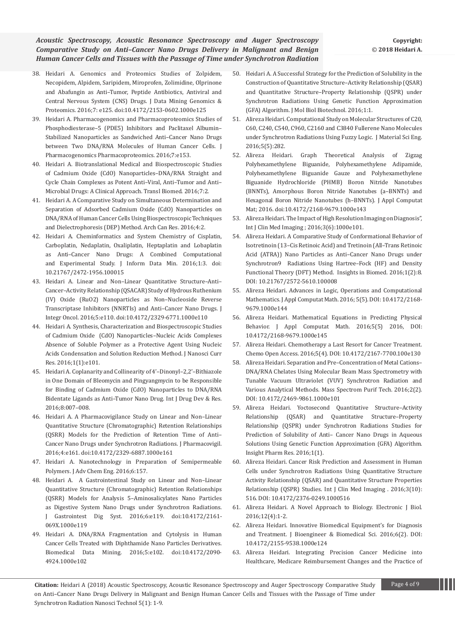- 38. [Heidari A. Genomics and Proteomics Studies of Zolpidem,](https://www.omicsonline.org/open-access/genomics-and-proteomics-studies-of-zolpidem-necopidem-alpidem-saripidem-miroprofen-zolimidine-olprinone-and-abafungin-as-antitumor-2153-0602-1000e125.php?aid=75982)  [Necopidem, Alpidem, Saripidem, Miroprofen, Zolimidine, Olprinone](https://www.omicsonline.org/open-access/genomics-and-proteomics-studies-of-zolpidem-necopidem-alpidem-saripidem-miroprofen-zolimidine-olprinone-and-abafungin-as-antitumor-2153-0602-1000e125.php?aid=75982)  [and Abafungin as Anti–Tumor, Peptide Antibiotics, Antiviral and](https://www.omicsonline.org/open-access/genomics-and-proteomics-studies-of-zolpidem-necopidem-alpidem-saripidem-miroprofen-zolimidine-olprinone-and-abafungin-as-antitumor-2153-0602-1000e125.php?aid=75982)  [Central Nervous System \(CNS\) Drugs. J Data Mining Genomics &](https://www.omicsonline.org/open-access/genomics-and-proteomics-studies-of-zolpidem-necopidem-alpidem-saripidem-miroprofen-zolimidine-olprinone-and-abafungin-as-antitumor-2153-0602-1000e125.php?aid=75982)  [Proteomics. 2016;7: e125. doi:10.4172/2153-0602.1000e125](https://www.omicsonline.org/open-access/genomics-and-proteomics-studies-of-zolpidem-necopidem-alpidem-saripidem-miroprofen-zolimidine-olprinone-and-abafungin-as-antitumor-2153-0602-1000e125.php?aid=75982)
- 39. Heidari A. Pharmacogenomics and Pharmacoproteomics Studies of Phosphodiesterase–5 (PDE5) Inhibitors and Paclitaxel Albumin– Stabilized Nanoparticles as Sandwiched Anti–Cancer Nano Drugs between Two DNA/RNA Molecules of Human Cancer Cells. J Pharmacogenomics Pharmacoproteomics. 2016;7:e153.
- 40. [Heidari A. Biotranslational Medical and Biospectroscopic Studies](http://www.transbiomedicine.com/translational-biomedicine/biotranslational-medical-and-biospectroscopic-studies-of-cadmium-oxidecdo-nanoparticlesdnarna-straight-and-cycle-chain-complexes-a.php?aid=9835)  [of Cadmium Oxide \(CdO\) Nanoparticles–DNA/RNA Straight and](http://www.transbiomedicine.com/translational-biomedicine/biotranslational-medical-and-biospectroscopic-studies-of-cadmium-oxidecdo-nanoparticlesdnarna-straight-and-cycle-chain-complexes-a.php?aid=9835)  [Cycle Chain Complexes as Potent Anti–Viral, Anti–Tumor and Anti–](http://www.transbiomedicine.com/translational-biomedicine/biotranslational-medical-and-biospectroscopic-studies-of-cadmium-oxidecdo-nanoparticlesdnarna-straight-and-cycle-chain-complexes-a.php?aid=9835)  [Microbial Drugs: A Clinical Approach. Transl Biomed. 2016;7:2.](http://www.transbiomedicine.com/translational-biomedicine/biotranslational-medical-and-biospectroscopic-studies-of-cadmium-oxidecdo-nanoparticlesdnarna-straight-and-cycle-chain-complexes-a.php?aid=9835)
- 41. [Heidari A. A Comparative Study on Simultaneous Determination and](http://www.acanceresearch.com/cancer-research/a-comparative-study-on-simultaneous-determination-and-separation-of-adsorbed-cadmium-oxide-cdo-nanoparticles-on-dnarna-of-human-ca.php?aid=9862)  [Separation of Adsorbed Cadmium Oxide \(CdO\) Nanoparticles on](http://www.acanceresearch.com/cancer-research/a-comparative-study-on-simultaneous-determination-and-separation-of-adsorbed-cadmium-oxide-cdo-nanoparticles-on-dnarna-of-human-ca.php?aid=9862)  [DNA/RNA of Human Cancer Cells Using Biospectroscopic Techniques](http://www.acanceresearch.com/cancer-research/a-comparative-study-on-simultaneous-determination-and-separation-of-adsorbed-cadmium-oxide-cdo-nanoparticles-on-dnarna-of-human-ca.php?aid=9862)  [and Dielectrophoresis \(DEP\) Method. Arch Can Res. 2016;4:2.](http://www.acanceresearch.com/cancer-research/a-comparative-study-on-simultaneous-determination-and-separation-of-adsorbed-cadmium-oxide-cdo-nanoparticles-on-dnarna-of-human-ca.php?aid=9862)
- 42. [Heidari A. Cheminformatics and System Chemistry of Cisplatin,](http://datamining.imedpub.com/cheminformatics-and-system-chemistry-of-cisplatin-carboplatin-nedaplatinoxaliplatin-heptaplatin-and-lobaplatin-as-anticancer-nano.php?aid=9880)  [Carboplatin, Nedaplatin, Oxaliplatin, Heptaplatin and Lobaplatin](http://datamining.imedpub.com/cheminformatics-and-system-chemistry-of-cisplatin-carboplatin-nedaplatinoxaliplatin-heptaplatin-and-lobaplatin-as-anticancer-nano.php?aid=9880)  [as Anti–Cancer Nano Drugs: A Combined Computational](http://datamining.imedpub.com/cheminformatics-and-system-chemistry-of-cisplatin-carboplatin-nedaplatinoxaliplatin-heptaplatin-and-lobaplatin-as-anticancer-nano.php?aid=9880)  [and Experimental Study. J Inform Data Min. 2016;1:3. doi:](http://datamining.imedpub.com/cheminformatics-and-system-chemistry-of-cisplatin-carboplatin-nedaplatinoxaliplatin-heptaplatin-and-lobaplatin-as-anticancer-nano.php?aid=9880)  [10.21767/2472-1956.100015](http://datamining.imedpub.com/cheminformatics-and-system-chemistry-of-cisplatin-carboplatin-nedaplatinoxaliplatin-heptaplatin-and-lobaplatin-as-anticancer-nano.php?aid=9880)
- 43. [Heidari A. Linear and Non–Linear Quantitative Structure–Anti–](https://www.omicsonline.org/open-access/linear-and-nonlinear-quantitative-structureanticanceractivityrelationship-qsacar-study-of-hydrous-ruthenium-iv-oxide-ruo2nanoparti-2329-6771-1000e110.php?aid=76867) [Cancer–Activity Relationship \(QSACAR\) Study of Hydrous Ruthenium](https://www.omicsonline.org/open-access/linear-and-nonlinear-quantitative-structureanticanceractivityrelationship-qsacar-study-of-hydrous-ruthenium-iv-oxide-ruo2nanoparti-2329-6771-1000e110.php?aid=76867)  [\(IV\) Oxide \(RuO2\) Nanoparticles as Non–Nucleoside Reverse](https://www.omicsonline.org/open-access/linear-and-nonlinear-quantitative-structureanticanceractivityrelationship-qsacar-study-of-hydrous-ruthenium-iv-oxide-ruo2nanoparti-2329-6771-1000e110.php?aid=76867)  [Transcriptase Inhibitors \(NNRTIs\) and Anti–Cancer Nano Drugs. J](https://www.omicsonline.org/open-access/linear-and-nonlinear-quantitative-structureanticanceractivityrelationship-qsacar-study-of-hydrous-ruthenium-iv-oxide-ruo2nanoparti-2329-6771-1000e110.php?aid=76867)  [Integr Oncol. 2016;5:e110. doi:10.4172/2329-6771.1000e110](https://www.omicsonline.org/open-access/linear-and-nonlinear-quantitative-structureanticanceractivityrelationship-qsacar-study-of-hydrous-ruthenium-iv-oxide-ruo2nanoparti-2329-6771-1000e110.php?aid=76867)
- 44. [Heidari A. Synthesis, Characterization and Biospectroscopic Studies](https://www.omicsonline.org/open-access/synthesis-characterization-and-biospectroscopic-studies-of-cadmium-oxide-cdo-nanoparticlesnucleic-acids-complexes-absence-of-solub-JNCR-1000103.pdf)  [of Cadmium Oxide \(CdO\) Nanoparticles–Nucleic Acids Complexes](https://www.omicsonline.org/open-access/synthesis-characterization-and-biospectroscopic-studies-of-cadmium-oxide-cdo-nanoparticlesnucleic-acids-complexes-absence-of-solub-JNCR-1000103.pdf)  [Absence of Soluble Polymer as a Protective Agent Using Nucleic](https://www.omicsonline.org/open-access/synthesis-characterization-and-biospectroscopic-studies-of-cadmium-oxide-cdo-nanoparticlesnucleic-acids-complexes-absence-of-solub-JNCR-1000103.pdf)  [Acids Condensation and Solution Reduction Method. J Nanosci Curr](https://www.omicsonline.org/open-access/synthesis-characterization-and-biospectroscopic-studies-of-cadmium-oxide-cdo-nanoparticlesnucleic-acids-complexes-absence-of-solub-JNCR-1000103.pdf)  [Res. 2016;1\(1\):e101.](https://www.omicsonline.org/open-access/synthesis-characterization-and-biospectroscopic-studies-of-cadmium-oxide-cdo-nanoparticlesnucleic-acids-complexes-absence-of-solub-JNCR-1000103.pdf)
- 45. [Heidari A. Coplanarity and Collinearity of 4'–Dinonyl–2,2'–Bithiazole](http://www.ijddr.in/drug-development/coplanarity-and-collinearity-of-4dinonyl22bithiazole-in-one-domain-of-bleomycin-and-pingyangmycin-to-be-responsible-for-bindingof.php?aid=9938)  [in One Domain of Bleomycin and Pingyangmycin to be Responsible](http://www.ijddr.in/drug-development/coplanarity-and-collinearity-of-4dinonyl22bithiazole-in-one-domain-of-bleomycin-and-pingyangmycin-to-be-responsible-for-bindingof.php?aid=9938)  [for Binding of Cadmium Oxide \(CdO\) Nanoparticles to DNA/RNA](http://www.ijddr.in/drug-development/coplanarity-and-collinearity-of-4dinonyl22bithiazole-in-one-domain-of-bleomycin-and-pingyangmycin-to-be-responsible-for-bindingof.php?aid=9938)  [Bidentate Ligands as Anti–Tumor Nano Drug. Int J Drug Dev & Res.](http://www.ijddr.in/drug-development/coplanarity-and-collinearity-of-4dinonyl22bithiazole-in-one-domain-of-bleomycin-and-pingyangmycin-to-be-responsible-for-bindingof.php?aid=9938)  [2016;8:007–008.](http://www.ijddr.in/drug-development/coplanarity-and-collinearity-of-4dinonyl22bithiazole-in-one-domain-of-bleomycin-and-pingyangmycin-to-be-responsible-for-bindingof.php?aid=9938)
- 46. [Heidari A. A Pharmacovigilance Study on Linear and Non–Linear](https://www.omicsonline.org/open-access/a-pharmacovigilance-study-on-linear-and-nonlinear-quantitativestructure-chromatographic-retention-relationships-qsrr-models-forthe-2329-6887-1000e161.php?aid=78376)  [Quantitative Structure \(Chromatographic\) Retention Relationships](https://www.omicsonline.org/open-access/a-pharmacovigilance-study-on-linear-and-nonlinear-quantitativestructure-chromatographic-retention-relationships-qsrr-models-forthe-2329-6887-1000e161.php?aid=78376)  [\(QSRR\) Models for the Prediction of Retention Time of Anti–](https://www.omicsonline.org/open-access/a-pharmacovigilance-study-on-linear-and-nonlinear-quantitativestructure-chromatographic-retention-relationships-qsrr-models-forthe-2329-6887-1000e161.php?aid=78376) [Cancer Nano Drugs under Synchrotron Radiations. J Pharmacovigil.](https://www.omicsonline.org/open-access/a-pharmacovigilance-study-on-linear-and-nonlinear-quantitativestructure-chromatographic-retention-relationships-qsrr-models-forthe-2329-6887-1000e161.php?aid=78376)  [2016;4:e161. doi:10.4172/2329-6887.1000e161](https://www.omicsonline.org/open-access/a-pharmacovigilance-study-on-linear-and-nonlinear-quantitativestructure-chromatographic-retention-relationships-qsrr-models-forthe-2329-6887-1000e161.php?aid=78376)
- 47. [Heidari A. Nanotechnology in Preparation of Semipermeable](https://www.omicsonline.org/open-access/nanotechnology-in-preparation-of-semipermeable-polymers-2090-4568-1000157.php?aid=78336)  [Polymers. J Adv Chem Eng. 2016;6:157.](https://www.omicsonline.org/open-access/nanotechnology-in-preparation-of-semipermeable-polymers-2090-4568-1000157.php?aid=78336)
- 48. [Heidari A. A Gastrointestinal Study on Linear and Non–Linear](https://www.omicsonline.org/open-access/a-gastrointestinal-study-on-linear-and-nonlinear-quantitative-structurechromatographic-retention-relationships-qsrr-models-for-ana-2161-069X-1000e119.php?aid=79075)  [Quantitative Structure \(Chromatographic\) Retention Relationships](https://www.omicsonline.org/open-access/a-gastrointestinal-study-on-linear-and-nonlinear-quantitative-structurechromatographic-retention-relationships-qsrr-models-for-ana-2161-069X-1000e119.php?aid=79075)  [\(QSRR\) Models for Analysis 5–Aminosalicylates Nano Particles](https://www.omicsonline.org/open-access/a-gastrointestinal-study-on-linear-and-nonlinear-quantitative-structurechromatographic-retention-relationships-qsrr-models-for-ana-2161-069X-1000e119.php?aid=79075)  [as Digestive System Nano Drugs under Synchrotron Radiations.](https://www.omicsonline.org/open-access/a-gastrointestinal-study-on-linear-and-nonlinear-quantitative-structurechromatographic-retention-relationships-qsrr-models-for-ana-2161-069X-1000e119.php?aid=79075)  [J Gastrointest Dig Syst. 2016;6:e119. doi:10.4172/2161-](https://www.omicsonline.org/open-access/a-gastrointestinal-study-on-linear-and-nonlinear-quantitative-structurechromatographic-retention-relationships-qsrr-models-for-ana-2161-069X-1000e119.php?aid=79075) [069X.1000e119](https://www.omicsonline.org/open-access/a-gastrointestinal-study-on-linear-and-nonlinear-quantitative-structurechromatographic-retention-relationships-qsrr-models-for-ana-2161-069X-1000e119.php?aid=79075)
- 49. [Heidari A. DNA/RNA Fragmentation and Cytolysis in Human](https://www.omicsonline.org/open-access/dnarna-fragmentation-and-cytolysis-in-human-cancer-cells-treatedwith-diphthamide-nano-particles-derivatives-2090-4924-1000e102.php?aid=79143)  [Cancer Cells Treated with Diphthamide Nano Particles Derivatives.](https://www.omicsonline.org/open-access/dnarna-fragmentation-and-cytolysis-in-human-cancer-cells-treatedwith-diphthamide-nano-particles-derivatives-2090-4924-1000e102.php?aid=79143)  [Biomedical Data Mining. 2016;5:e102. doi:10.4172/2090-](https://www.omicsonline.org/open-access/dnarna-fragmentation-and-cytolysis-in-human-cancer-cells-treatedwith-diphthamide-nano-particles-derivatives-2090-4924-1000e102.php?aid=79143) [4924.1000e102](https://www.omicsonline.org/open-access/dnarna-fragmentation-and-cytolysis-in-human-cancer-cells-treatedwith-diphthamide-nano-particles-derivatives-2090-4924-1000e102.php?aid=79143)
- 50. [Heidari A. A Successful Strategy for the Prediction of Solubility in the](http://www.imedpub.com/articles/a-successful-strategy-for-the-prediction-of-solubility-in-the-construction-of-quantitative-structureactivity-relationship-qsar-and.php?aid=17247)  [Construction of Quantitative Structure–Activity Relationship \(QSAR\)](http://www.imedpub.com/articles/a-successful-strategy-for-the-prediction-of-solubility-in-the-construction-of-quantitative-structureactivity-relationship-qsar-and.php?aid=17247)  [and Quantitative Structure–Property Relationship \(QSPR\) under](http://www.imedpub.com/articles/a-successful-strategy-for-the-prediction-of-solubility-in-the-construction-of-quantitative-structureactivity-relationship-qsar-and.php?aid=17247)  [Synchrotron Radiations Using Genetic Function Approximation](http://www.imedpub.com/articles/a-successful-strategy-for-the-prediction-of-solubility-in-the-construction-of-quantitative-structureactivity-relationship-qsar-and.php?aid=17247)  [\(GFA\) Algorithm. J Mol Biol Biotechnol. 2016;1:1.](http://www.imedpub.com/articles/a-successful-strategy-for-the-prediction-of-solubility-in-the-construction-of-quantitative-structureactivity-relationship-qsar-and.php?aid=17247)
- 51. [Alireza Heidari. Computational Study on Molecular Structures of C20,](https://www.omicsonline.org/open-access/computational-study-on-molecular-structures-of-c20-c60-c240-c540c960-c2160-and-c3840-fullerene-nano-molecules-under-synchrotron-ra-2169-0022-1000282.pdf)  [C60, C240, C540, C960, C2160 and C3840 Fullerene Nano Molecules](https://www.omicsonline.org/open-access/computational-study-on-molecular-structures-of-c20-c60-c240-c540c960-c2160-and-c3840-fullerene-nano-molecules-under-synchrotron-ra-2169-0022-1000282.pdf)  [under Synchrotron Radiations Using Fuzzy Logic. J Material Sci Eng.](https://www.omicsonline.org/open-access/computational-study-on-molecular-structures-of-c20-c60-c240-c540c960-c2160-and-c3840-fullerene-nano-molecules-under-synchrotron-ra-2169-0022-1000282.pdf)  [2016;5\(5\):282.](https://www.omicsonline.org/open-access/computational-study-on-molecular-structures-of-c20-c60-c240-c540c960-c2160-and-c3840-fullerene-nano-molecules-under-synchrotron-ra-2169-0022-1000282.pdf)
- 52. [Alireza Heidari. Graph Theoretical Analysis of Zigzag](https://www.omicsonline.org/open-access/graph-theoretical-analysis-of-zigzag-polyhexamethylene-biguanide-polyhexamethylene-adipamide-polyhexamethylene-biguanide-gauze-and-2168-9679-1000e143.php?aid=80804)  [Polyhexamethylene Biguanide, Polyhexamethylene Adipamide,](https://www.omicsonline.org/open-access/graph-theoretical-analysis-of-zigzag-polyhexamethylene-biguanide-polyhexamethylene-adipamide-polyhexamethylene-biguanide-gauze-and-2168-9679-1000e143.php?aid=80804)  [Polyhexamethylene Biguanide Gauze and Polyhexamethylene](https://www.omicsonline.org/open-access/graph-theoretical-analysis-of-zigzag-polyhexamethylene-biguanide-polyhexamethylene-adipamide-polyhexamethylene-biguanide-gauze-and-2168-9679-1000e143.php?aid=80804)  [Biguanide Hydrochloride \(PHMB\) Boron Nitride Nanotubes](https://www.omicsonline.org/open-access/graph-theoretical-analysis-of-zigzag-polyhexamethylene-biguanide-polyhexamethylene-adipamide-polyhexamethylene-biguanide-gauze-and-2168-9679-1000e143.php?aid=80804)  [\(BNNTs\), Amorphous Boron Nitride Nanotubes \(a–BNNTs\) and](https://www.omicsonline.org/open-access/graph-theoretical-analysis-of-zigzag-polyhexamethylene-biguanide-polyhexamethylene-adipamide-polyhexamethylene-biguanide-gauze-and-2168-9679-1000e143.php?aid=80804)  [Hexagonal Boron Nitride Nanotubes \(h–BNNTs\). J Appl Computat](https://www.omicsonline.org/open-access/graph-theoretical-analysis-of-zigzag-polyhexamethylene-biguanide-polyhexamethylene-adipamide-polyhexamethylene-biguanide-gauze-and-2168-9679-1000e143.php?aid=80804)  [Mat; 2016. doi:10.4172/2168-9679.1000e143](https://www.omicsonline.org/open-access/graph-theoretical-analysis-of-zigzag-polyhexamethylene-biguanide-polyhexamethylene-adipamide-polyhexamethylene-biguanide-gauze-and-2168-9679-1000e143.php?aid=80804)
- 53. [Alireza Heidari. The Impact of High Resolution Imaging on Diagnosis",](http://imagejournals.org/the-impact-of-high-resolution-imaging-on-diagnosis.pdf)  [Int J Clin Med Imaging ; 2016;3\(6\):1000e101.](http://imagejournals.org/the-impact-of-high-resolution-imaging-on-diagnosis.pdf)
- 54. [Alireza Heidari. A Comparative Study of Conformational Behavior of](http://biomedicine.imedpub.com/a-comparative-study-of-conformational-behavior-of-isotretinoin-13cis-retinoic-acid-and-tretinoin-alltrans-retinoic-acid-atra-nano.pdf)  [Isotretinoin \(13–Cis Retinoic Acid\) and Tretinoin \(All–Trans Retinoic](http://biomedicine.imedpub.com/a-comparative-study-of-conformational-behavior-of-isotretinoin-13cis-retinoic-acid-and-tretinoin-alltrans-retinoic-acid-atra-nano.pdf)  [Acid \(ATRA\)\) Nano Particles as Anti–Cancer Nano Drugs under](http://biomedicine.imedpub.com/a-comparative-study-of-conformational-behavior-of-isotretinoin-13cis-retinoic-acid-and-tretinoin-alltrans-retinoic-acid-atra-nano.pdf)  [Synchrotron9 Radiations Using Hartree–Fock \(HF\) and Density](http://biomedicine.imedpub.com/a-comparative-study-of-conformational-behavior-of-isotretinoin-13cis-retinoic-acid-and-tretinoin-alltrans-retinoic-acid-atra-nano.pdf)  [Functional Theory \(DFT\) Method. Insights in Biomed. 2016;1\(2\):8.](http://biomedicine.imedpub.com/a-comparative-study-of-conformational-behavior-of-isotretinoin-13cis-retinoic-acid-and-tretinoin-alltrans-retinoic-acid-atra-nano.pdf)  [DOI: 10.21767/2572-5610.100008](http://biomedicine.imedpub.com/a-comparative-study-of-conformational-behavior-of-isotretinoin-13cis-retinoic-acid-and-tretinoin-alltrans-retinoic-acid-atra-nano.pdf)
- 55. [Alireza Heidari. Advances in Logic, Operations and Computational](https://www.omicsonline.org/open-access/advances-in-logic-operations-and-computational-mathematics-2168-9679-1000e144.pdf)  [Mathematics. J Appl Computat Math. 2016; 5\(5\). DOI: 10.4172/2168-](https://www.omicsonline.org/open-access/advances-in-logic-operations-and-computational-mathematics-2168-9679-1000e144.pdf) [9679.1000e144](https://www.omicsonline.org/open-access/advances-in-logic-operations-and-computational-mathematics-2168-9679-1000e144.pdf)
- 56. [Alireza Heidari. Mathematical Equations in Predicting Physical](https://www.omicsonline.org/open-access/mathematical-equations-in-predicting-physical-behavior-2168-9679-1000e145.pdf)  [Behavior. J Appl Computat Math. 2016;5\(5\) 2016, DOI:](https://www.omicsonline.org/open-access/mathematical-equations-in-predicting-physical-behavior-2168-9679-1000e145.pdf)  [10.4172/2168-9679.1000e145](https://www.omicsonline.org/open-access/mathematical-equations-in-predicting-physical-behavior-2168-9679-1000e145.pdf)
- 57. [Alireza Heidari. Chemotherapy a Last Resort for Cancer Treatment.](https://www.omicsonline.org/open-access/chemotherapy-a-last-resort-for-cancer-treatment-2167-7700-1000e130.pdf)  [Chemo Open Access. 2016;5\(4\). DOI: 10.4172/2167-7700.100e130](https://www.omicsonline.org/open-access/chemotherapy-a-last-resort-for-cancer-treatment-2167-7700-1000e130.pdf)
- 58. [Alireza Heidari. Separation and Pre–Concentration of Metal Cations–](https://www.omicsonline.org/open-access/separation-and-preconcentration-of-metal-cations--dnarnachelates-using-molecular-beam-mass-spectrometry-with-tunable-vacuumultravi-2469-9861-1000e101.pdf) [DNA/RNA Chelates Using Molecular Beam Mass Spectrometry with](https://www.omicsonline.org/open-access/separation-and-preconcentration-of-metal-cations--dnarnachelates-using-molecular-beam-mass-spectrometry-with-tunable-vacuumultravi-2469-9861-1000e101.pdf)  [Tunable Vacuum Ultraviolet \(VUV\) Synchrotron Radiation and](https://www.omicsonline.org/open-access/separation-and-preconcentration-of-metal-cations--dnarnachelates-using-molecular-beam-mass-spectrometry-with-tunable-vacuumultravi-2469-9861-1000e101.pdf)  [Various Analytical Methods. Mass Spectrom Purif Tech. 2016;2\(2\).](https://www.omicsonline.org/open-access/separation-and-preconcentration-of-metal-cations--dnarnachelates-using-molecular-beam-mass-spectrometry-with-tunable-vacuumultravi-2469-9861-1000e101.pdf)  [DOI: 10.4172/2469-9861.1000e101](https://www.omicsonline.org/open-access/separation-and-preconcentration-of-metal-cations--dnarnachelates-using-molecular-beam-mass-spectrometry-with-tunable-vacuumultravi-2469-9861-1000e101.pdf)
- 59. [Alireza Heidari. Yoctosecond Quantitative Structure–Activity](http://www.imedpub.com/articles/yoctosecond-quantitative-structure-activity-relationship-qsar-and-quantitative-structure-property-relationship-qspr-under-synchrot.pdf)  [Relationship \(QSAR\) and Quantitative Structure–Property](http://www.imedpub.com/articles/yoctosecond-quantitative-structure-activity-relationship-qsar-and-quantitative-structure-property-relationship-qspr-under-synchrot.pdf)  [Relationship \(QSPR\) under Synchrotron Radiations Studies for](http://www.imedpub.com/articles/yoctosecond-quantitative-structure-activity-relationship-qsar-and-quantitative-structure-property-relationship-qspr-under-synchrot.pdf)  [Prediction of Solubility of Anti– Cancer Nano Drugs in Aqueous](http://www.imedpub.com/articles/yoctosecond-quantitative-structure-activity-relationship-qsar-and-quantitative-structure-property-relationship-qspr-under-synchrot.pdf)  [Solutions Using Genetic Function Approximation \(GFA\) Algorithm.](http://www.imedpub.com/articles/yoctosecond-quantitative-structure-activity-relationship-qsar-and-quantitative-structure-property-relationship-qspr-under-synchrot.pdf)  [Insight Pharm Res. 2016;1\(1\).](http://www.imedpub.com/articles/yoctosecond-quantitative-structure-activity-relationship-qsar-and-quantitative-structure-property-relationship-qspr-under-synchrot.pdf)
- 60. [Alireza Heidari. Cancer Risk Prediction and Assessment in Human](http://imagejournals.org/cancer-risk-prediction-and-assessment-in-human-cells-under-synchrotron-radiations-using-quantitative-structure-activity-relationship.pdf)  [Cells under Synchrotron Radiations Using Quantitative Structure](http://imagejournals.org/cancer-risk-prediction-and-assessment-in-human-cells-under-synchrotron-radiations-using-quantitative-structure-activity-relationship.pdf)  [Activity Relationship \(QSAR\) and Quantitative Structure Properties](http://imagejournals.org/cancer-risk-prediction-and-assessment-in-human-cells-under-synchrotron-radiations-using-quantitative-structure-activity-relationship.pdf)  [Relationship \(QSPR\) Studies. Int J Clin Med Imaging . 2016;3\(10\):](http://imagejournals.org/cancer-risk-prediction-and-assessment-in-human-cells-under-synchrotron-radiations-using-quantitative-structure-activity-relationship.pdf)  [516. DOI: 10.4172/2376-0249.1000516](http://imagejournals.org/cancer-risk-prediction-and-assessment-in-human-cells-under-synchrotron-radiations-using-quantitative-structure-activity-relationship.pdf)
- 61. [Alireza Heidari. A Novel Approach to Biology. Electronic J Biol.](http://ejbio.imedpub.com/a-novel-approach-to-biology.pdf)  [2016;12\(4\):1-2.](http://ejbio.imedpub.com/a-novel-approach-to-biology.pdf)
- 62. [Alireza Heidari. Innovative Biomedical Equipment's for Diagnosis](file:///C:\Users\onlinepc22\Downloads\innovative-biomedical-equipments-for-diagnosis-and-treatment-2155-9538-1000e124.pdf)  [and Treatment. J Bioengineer & Biomedical Sci. 2016;6\(2\). DOI:](file:///C:\Users\onlinepc22\Downloads\innovative-biomedical-equipments-for-diagnosis-and-treatment-2155-9538-1000e124.pdf)  [10.4172/2155-9538.1000e124](file:///C:\Users\onlinepc22\Downloads\innovative-biomedical-equipments-for-diagnosis-and-treatment-2155-9538-1000e124.pdf)
- 63. [Alireza Heidari. Integrating Precision Cancer Medicine into](file:///C:\Users\onlinepc22\Downloads\integrating-precision-cancer-medicine-into-healthcare-medicarereimbursement-changes-and-the-practice-of-oncology-trends-in-oncolog.pdf)  [Healthcare, Medicare Reimbursement Changes and the Practice of](file:///C:\Users\onlinepc22\Downloads\integrating-precision-cancer-medicine-into-healthcare-medicarereimbursement-changes-and-the-practice-of-oncology-trends-in-oncolog.pdf)

**Citation:** Heidari A (2018) Acoustic Spectroscopy, Acoustic Resonance Spectroscopy and Auger Spectroscopy Comparative Study Page 4 of 9 on Anti–Cancer Nano Drugs Delivery in Malignant and Benign Human Cancer Cells and Tissues with the Passage of Time under Synchrotron Radiation Nanosci Technol 5(1): 1-9.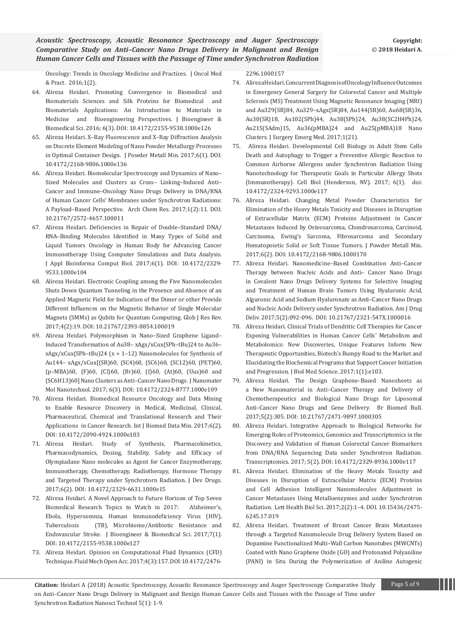[Oncology: Trends in Oncology Medicine and Practices. J Oncol Med](file:///C:\Users\onlinepc22\Downloads\integrating-precision-cancer-medicine-into-healthcare-medicarereimbursement-changes-and-the-practice-of-oncology-trends-in-oncolog.pdf)  [& Pract. 2016;1\(2\).](file:///C:\Users\onlinepc22\Downloads\integrating-precision-cancer-medicine-into-healthcare-medicarereimbursement-changes-and-the-practice-of-oncology-trends-in-oncolog.pdf)

- 64. [Alireza Heidari. Promoting Convergence in Biomedical and](file:///C:\Users\onlinepc22\Downloads\editors-note-journal-of-bioengineering--biomedical-science-volume-6-issue-3-2155-9538-1000e126.pdf)  [Biomaterials Sciences and Silk Proteins for Biomedical and](file:///C:\Users\onlinepc22\Downloads\editors-note-journal-of-bioengineering--biomedical-science-volume-6-issue-3-2155-9538-1000e126.pdf)  [Biomaterials Applications: An Introduction to Materials in](file:///C:\Users\onlinepc22\Downloads\editors-note-journal-of-bioengineering--biomedical-science-volume-6-issue-3-2155-9538-1000e126.pdf)  [Medicine and Bioengineering Perspectives. J Bioengineer &](file:///C:\Users\onlinepc22\Downloads\editors-note-journal-of-bioengineering--biomedical-science-volume-6-issue-3-2155-9538-1000e126.pdf)  [Biomedical Sci. 2016; 6\(3\). DOI: 10.4172/2155-9538.1000e126](file:///C:\Users\onlinepc22\Downloads\editors-note-journal-of-bioengineering--biomedical-science-volume-6-issue-3-2155-9538-1000e126.pdf)
- 65. [Alireza Heidari. X–Ray Fluorescence and X–Ray Diffraction Analysis](file:///C:\Users\onlinepc22\Downloads\xray-fluorescence-and-xray-diffraction-analysis-on-discrete-elementmodeling-of-nano-powder-metallurgy-processes-in-optimal-contain-2168-9806-1000e136.pdf)  [on Discrete Element Modeling of Nano Powder Metallurgy Processes](file:///C:\Users\onlinepc22\Downloads\xray-fluorescence-and-xray-diffraction-analysis-on-discrete-elementmodeling-of-nano-powder-metallurgy-processes-in-optimal-contain-2168-9806-1000e136.pdf)  [in Optimal Container Design. J Powder Metall Min. 2017;6\(1\). DOI:](file:///C:\Users\onlinepc22\Downloads\xray-fluorescence-and-xray-diffraction-analysis-on-discrete-elementmodeling-of-nano-powder-metallurgy-processes-in-optimal-contain-2168-9806-1000e136.pdf)  [10.4172/2168-9806.1000e136](file:///C:\Users\onlinepc22\Downloads\xray-fluorescence-and-xray-diffraction-analysis-on-discrete-elementmodeling-of-nano-powder-metallurgy-processes-in-optimal-contain-2168-9806-1000e136.pdf)
- 66. [Alireza Heidari. Biomolecular Spectroscopy and Dynamics of Nano–](https://www.imedpub.com/articles/delivery-in-dnarna-of-human-cancer-cells-membrane-under-synchrotron-radiations-a-payloadbased-perspective.pdf) [Sized Molecules and Clusters as Cross– Linking–Induced Anti–](https://www.imedpub.com/articles/delivery-in-dnarna-of-human-cancer-cells-membrane-under-synchrotron-radiations-a-payloadbased-perspective.pdf) [Cancer and Immune–Oncology Nano Drugs Delivery in DNA/RNA](https://www.imedpub.com/articles/delivery-in-dnarna-of-human-cancer-cells-membrane-under-synchrotron-radiations-a-payloadbased-perspective.pdf)  [of Human Cancer Cells' Membranes under Synchrotron Radiations:](https://www.imedpub.com/articles/delivery-in-dnarna-of-human-cancer-cells-membrane-under-synchrotron-radiations-a-payloadbased-perspective.pdf)  [A Payload–Based Perspective. Arch Chem Res. 2017;1\(2\):11. DOI:](https://www.imedpub.com/articles/delivery-in-dnarna-of-human-cancer-cells-membrane-under-synchrotron-radiations-a-payloadbased-perspective.pdf)  [10.21767/2572-4657.100011](https://www.imedpub.com/articles/delivery-in-dnarna-of-human-cancer-cells-membrane-under-synchrotron-radiations-a-payloadbased-perspective.pdf)
- 67. [Alireza Heidari. Deficiencies in Repair of Double–Standard DNA/](file:///C:\Users\onlinepc22\Downloads\deficiencies-in-repair-of-doublestandard-dnarnabinding-molecules-identified-in-many-types-of-solid-and-liquid-tumors-oncology-in-h-r1vX.pdf) [RNA–Binding Molecules Identified in Many Types of Solid and](file:///C:\Users\onlinepc22\Downloads\deficiencies-in-repair-of-doublestandard-dnarnabinding-molecules-identified-in-many-types-of-solid-and-liquid-tumors-oncology-in-h-r1vX.pdf)  [Liquid Tumors Oncology in Human Body for Advancing Cancer](file:///C:\Users\onlinepc22\Downloads\deficiencies-in-repair-of-doublestandard-dnarnabinding-molecules-identified-in-many-types-of-solid-and-liquid-tumors-oncology-in-h-r1vX.pdf)  [Immunotherapy Using Computer Simulations and Data Analysis.](file:///C:\Users\onlinepc22\Downloads\deficiencies-in-repair-of-doublestandard-dnarnabinding-molecules-identified-in-many-types-of-solid-and-liquid-tumors-oncology-in-h-r1vX.pdf)  [J Appl Bioinforma Comput Biol. 2017;6\(1\). DOI: 10.4172/2329-](file:///C:\Users\onlinepc22\Downloads\deficiencies-in-repair-of-doublestandard-dnarnabinding-molecules-identified-in-many-types-of-solid-and-liquid-tumors-oncology-in-h-r1vX.pdf) [9533.1000e104](file:///C:\Users\onlinepc22\Downloads\deficiencies-in-repair-of-doublestandard-dnarnabinding-molecules-identified-in-many-types-of-solid-and-liquid-tumors-oncology-in-h-r1vX.pdf)
- 68. [Alireza Heidari. Electronic Coupling among the Five Nanomolecules](https://www.imedpub.com/articles/electronic-coupling-among-the-five-nanomolecules-shuts-down-quantum-tunneling-in-the-presence-and-absence-of-an-applied-magnetic-f.pdf)  [Shuts Down Quantum Tunneling in the Presence and Absence of an](https://www.imedpub.com/articles/electronic-coupling-among-the-five-nanomolecules-shuts-down-quantum-tunneling-in-the-presence-and-absence-of-an-applied-magnetic-f.pdf)  [Applied Magnetic Field for Indication of the Dimer or other Provide](https://www.imedpub.com/articles/electronic-coupling-among-the-five-nanomolecules-shuts-down-quantum-tunneling-in-the-presence-and-absence-of-an-applied-magnetic-f.pdf)  [Different Influences on the Magnetic Behavior of Single Molecular](https://www.imedpub.com/articles/electronic-coupling-among-the-five-nanomolecules-shuts-down-quantum-tunneling-in-the-presence-and-absence-of-an-applied-magnetic-f.pdf)  [Magnets \(SMMs\) as Qubits for Quantum Computing. Glob J Res Rev.](https://www.imedpub.com/articles/electronic-coupling-among-the-five-nanomolecules-shuts-down-quantum-tunneling-in-the-presence-and-absence-of-an-applied-magnetic-f.pdf)  [2017;4\(2\):19. DOI: 10.21767/2393-8854.100019](https://www.imedpub.com/articles/electronic-coupling-among-the-five-nanomolecules-shuts-down-quantum-tunneling-in-the-presence-and-absence-of-an-applied-magnetic-f.pdf)
- 69. [Alireza Heidari. Polymorphism in Nano–Sized Graphene Ligand–](file:///C:\Users\onlinepc22\Downloads\polymorphism-in-nanosized-graphene-ligandinduced-transformation-of-au38xagxxcuxsphtbu24-to-au36xagxxcuxsphtbu24-x112-nanomolecules-Jhgv.pdf) [Induced Transformation of Au38– xAgx/xCux\(SPh–tBu\)24 to Au36–](file:///C:\Users\onlinepc22\Downloads\polymorphism-in-nanosized-graphene-ligandinduced-transformation-of-au38xagxxcuxsphtbu24-to-au36xagxxcuxsphtbu24-x112-nanomolecules-Jhgv.pdf)  $xAgx/xCux(SPh-tBu)24$  ( $x = 1-12$ ) Nanomolecules for Synthesis of [Au144– xAgx/xCux\[\(SR\)60, \(SC4\)60, \(SC6\)60, \(SC12\)60, \(PET\)60,](file:///C:\Users\onlinepc22\Downloads\polymorphism-in-nanosized-graphene-ligandinduced-transformation-of-au38xagxxcuxsphtbu24-to-au36xagxxcuxsphtbu24-x112-nanomolecules-Jhgv.pdf)  [\(p–MBA\)60, \(F\)60, \(Cl\)60, \(Br\)60, \(I\)60, \(At\)60, \(Uus\)60 and](file:///C:\Users\onlinepc22\Downloads\polymorphism-in-nanosized-graphene-ligandinduced-transformation-of-au38xagxxcuxsphtbu24-to-au36xagxxcuxsphtbu24-x112-nanomolecules-Jhgv.pdf)  [\(SC6H13\)60\] Nano Clusters as Anti–Cancer Nano Drugs. J Nanomater](file:///C:\Users\onlinepc22\Downloads\polymorphism-in-nanosized-graphene-ligandinduced-transformation-of-au38xagxxcuxsphtbu24-to-au36xagxxcuxsphtbu24-x112-nanomolecules-Jhgv.pdf)  [Mol Nanotechnol. 2017; 6\(3\). DOI: 10.4172/2324-8777.1000e109](file:///C:\Users\onlinepc22\Downloads\polymorphism-in-nanosized-graphene-ligandinduced-transformation-of-au38xagxxcuxsphtbu24-to-au36xagxxcuxsphtbu24-x112-nanomolecules-Jhgv.pdf)
- 70. [Alireza Heidari. Biomedical Resource Oncology and Data Mining](file:///C:\Users\onlinepc22\Downloads\biomedical-resource-oncology-and-data-mining-to-enable-resourcediscovery-in-medical-medicinal-clinical-pharmaceutical-chemical-and-2090-4924-1000e103.pdf)  [to Enable Resource Discovery in Medical, Medicinal, Clinical,](file:///C:\Users\onlinepc22\Downloads\biomedical-resource-oncology-and-data-mining-to-enable-resourcediscovery-in-medical-medicinal-clinical-pharmaceutical-chemical-and-2090-4924-1000e103.pdf)  [Pharmaceutical, Chemical and Translational Research and Their](file:///C:\Users\onlinepc22\Downloads\biomedical-resource-oncology-and-data-mining-to-enable-resourcediscovery-in-medical-medicinal-clinical-pharmaceutical-chemical-and-2090-4924-1000e103.pdf)  [Applications in Cancer Research. Int J Biomed Data Min. 2017;6\(2\).](file:///C:\Users\onlinepc22\Downloads\biomedical-resource-oncology-and-data-mining-to-enable-resourcediscovery-in-medical-medicinal-clinical-pharmaceutical-chemical-and-2090-4924-1000e103.pdf)  [DOI: 10.4172/2090-4924.1000e103](file:///C:\Users\onlinepc22\Downloads\biomedical-resource-oncology-and-data-mining-to-enable-resourcediscovery-in-medical-medicinal-clinical-pharmaceutical-chemical-and-2090-4924-1000e103.pdf)
- 71. [Alireza Heidari. Study of Synthesis, Pharmacokinetics,](https://www.omicsonline.org/open-access/study-of-synthesis-pharmacokinetics-pharmacodynamics-dosing-stability-safety-and-efficacy-of-olympiadane-nanomolecules-as-agent-fo-2329-6631-1000e154.pdf)  [Pharmacodynamics, Dosing, Stability, Safety and Efficacy of](https://www.omicsonline.org/open-access/study-of-synthesis-pharmacokinetics-pharmacodynamics-dosing-stability-safety-and-efficacy-of-olympiadane-nanomolecules-as-agent-fo-2329-6631-1000e154.pdf)  [Olympiadane Nano molecules as Agent for Cancer Enzymotherapy,](https://www.omicsonline.org/open-access/study-of-synthesis-pharmacokinetics-pharmacodynamics-dosing-stability-safety-and-efficacy-of-olympiadane-nanomolecules-as-agent-fo-2329-6631-1000e154.pdf)  [Immunotherapy, Chemotherapy, Radiotherapy, Hormone Therapy](https://www.omicsonline.org/open-access/study-of-synthesis-pharmacokinetics-pharmacodynamics-dosing-stability-safety-and-efficacy-of-olympiadane-nanomolecules-as-agent-fo-2329-6631-1000e154.pdf)  [and Targeted Therapy under Synchrotorn Radiation. J Dev Drugs.](https://www.omicsonline.org/open-access/study-of-synthesis-pharmacokinetics-pharmacodynamics-dosing-stability-safety-and-efficacy-of-olympiadane-nanomolecules-as-agent-fo-2329-6631-1000e154.pdf)  [2017;6\(2\). DOI: 10.4172/2329-6631.1000e15](https://www.omicsonline.org/open-access/study-of-synthesis-pharmacokinetics-pharmacodynamics-dosing-stability-safety-and-efficacy-of-olympiadane-nanomolecules-as-agent-fo-2329-6631-1000e154.pdf)
- 72. Alireza Heidari. A Novel Approach to Future Horizon of Top Seven<br>Biomedical Research Topics to Watch in 2017: Alzheimer's, Biomedical Research Topics to Watch in 2017: [Ebola, Hypersomnia, Human Immunodeficiency Virus \(HIV\),](file:///C:\Users\onlinepc22\Downloads\a-novel-approach-to-future-horizon-of-top-seven-biomedical-researchtopics-to-watch-in-2017-alzheimers-ebola-hypersomnia-humanimmun.pdf)  [Tuberculosis \(TB\), Microbiome/Antibiotic Resistance and](file:///C:\Users\onlinepc22\Downloads\a-novel-approach-to-future-horizon-of-top-seven-biomedical-researchtopics-to-watch-in-2017-alzheimers-ebola-hypersomnia-humanimmun.pdf)  [Endovascular Stroke. J Bioengineer & Biomedical Sci. 2017;7\(1\).](file:///C:\Users\onlinepc22\Downloads\a-novel-approach-to-future-horizon-of-top-seven-biomedical-researchtopics-to-watch-in-2017-alzheimers-ebola-hypersomnia-humanimmun.pdf)  [DOI: 10.4172/2155-9538.1000e127](file:///C:\Users\onlinepc22\Downloads\a-novel-approach-to-future-horizon-of-top-seven-biomedical-researchtopics-to-watch-in-2017-alzheimers-ebola-hypersomnia-humanimmun.pdf)
- 73. [Alireza Heidari. Opinion on Computational Fluid Dynamics \(CFD\)](file:///C:\Users\onlinepc22\Downloads\opinion-on-computational-fluid-dynamics-cfd-technique-2476-2296-1000157.pdf)  [Technique. Fluid Mech Open Acc. 2017;4\(3\):157. DOI:10.4172/2476-](file:///C:\Users\onlinepc22\Downloads\opinion-on-computational-fluid-dynamics-cfd-technique-2476-2296-1000157.pdf)

[2296.1000157](file:///C:\Users\onlinepc22\Downloads\opinion-on-computational-fluid-dynamics-cfd-technique-2476-2296-1000157.pdf)

- 74. [Alireza Heidari. Concurrent Diagnosis of Oncology Influence Outcomes](http://www.imedpub.com/articles/concurrent-diagnosis-of-oncology-influence-outcomes-in-emergency-general-surgery-for-colorectal-cancer-and-multiple-sclerosis-ms-t.pdf)  [in Emergency General Surgery for Colorectal Cancer and Multiple](http://www.imedpub.com/articles/concurrent-diagnosis-of-oncology-influence-outcomes-in-emergency-general-surgery-for-colorectal-cancer-and-multiple-sclerosis-ms-t.pdf)  [Sclerosis \(MS\) Treatment Using Magnetic Resonance Imaging \(MRI\)](http://www.imedpub.com/articles/concurrent-diagnosis-of-oncology-influence-outcomes-in-emergency-general-surgery-for-colorectal-cancer-and-multiple-sclerosis-ms-t.pdf)  [and Au329\(SR\)84, Au329–xAgx\(SR\)84, Au144\(SR\)60, Au68\(SR\)36,](http://www.imedpub.com/articles/concurrent-diagnosis-of-oncology-influence-outcomes-in-emergency-general-surgery-for-colorectal-cancer-and-multiple-sclerosis-ms-t.pdf)  [Au30\(SR\)18, Au102\(SPh\)44, Au38\(SPh\)24, Au38\(SC2H4Ph\)24,](http://www.imedpub.com/articles/concurrent-diagnosis-of-oncology-influence-outcomes-in-emergency-general-surgery-for-colorectal-cancer-and-multiple-sclerosis-ms-t.pdf)  [Au21S\(SAdm\)15, Au36\(pMBA\)24 and Au25\(pMBA\)18 Nano](http://www.imedpub.com/articles/concurrent-diagnosis-of-oncology-influence-outcomes-in-emergency-general-surgery-for-colorectal-cancer-and-multiple-sclerosis-ms-t.pdf)  [Clusters. J Surgery Emerg Med. 2017;1\(21\).](http://www.imedpub.com/articles/concurrent-diagnosis-of-oncology-influence-outcomes-in-emergency-general-surgery-for-colorectal-cancer-and-multiple-sclerosis-ms-t.pdf)
- 75. [Alireza Heidari. Developmental Cell Biology in Adult Stem Cells](https://www.scitechnol.com/peer-review/developmental-cell-biology-in-adult-stem-cells-death-and-autophagy-to-trigger-a-preventive-allergic-reaction-to-common-airborne-al-UR9x.php?article_id=6166)  [Death and Autophagy to Trigger a Preventive Allergic Reaction to](https://www.scitechnol.com/peer-review/developmental-cell-biology-in-adult-stem-cells-death-and-autophagy-to-trigger-a-preventive-allergic-reaction-to-common-airborne-al-UR9x.php?article_id=6166)  [Common Airborne Allergens under Synchrotron Radiation Using](https://www.scitechnol.com/peer-review/developmental-cell-biology-in-adult-stem-cells-death-and-autophagy-to-trigger-a-preventive-allergic-reaction-to-common-airborne-al-UR9x.php?article_id=6166)  [Nanotechnology for Therapeutic Goals in Particular Allergy Shots](https://www.scitechnol.com/peer-review/developmental-cell-biology-in-adult-stem-cells-death-and-autophagy-to-trigger-a-preventive-allergic-reaction-to-common-airborne-al-UR9x.php?article_id=6166)  [\(Immunotherapy\). Cell Biol \(Henderson, NV\). 2017; 6\(1\). doi:](https://www.scitechnol.com/peer-review/developmental-cell-biology-in-adult-stem-cells-death-and-autophagy-to-trigger-a-preventive-allergic-reaction-to-common-airborne-al-UR9x.php?article_id=6166)  [10.4172/2324-9293.1000e117](https://www.scitechnol.com/peer-review/developmental-cell-biology-in-adult-stem-cells-death-and-autophagy-to-trigger-a-preventive-allergic-reaction-to-common-airborne-al-UR9x.php?article_id=6166)
- 76. [Alireza Heidari. Changing Metal Powder Characteristics for](https://www.omicsonline.org/open-access/changing-metal-powder-characteristics-for-elimination-of-the-heavymetals-toxicity-and-diseases-in-disruption-of-extracellular-matr-2168-9806-1000170.pdf)  [Elimination of the Heavy Metals Toxicity and Diseases in Disruption](https://www.omicsonline.org/open-access/changing-metal-powder-characteristics-for-elimination-of-the-heavymetals-toxicity-and-diseases-in-disruption-of-extracellular-matr-2168-9806-1000170.pdf)  [of Extracellular Matrix \(ECM\) Proteins Adjustment in Cancer](https://www.omicsonline.org/open-access/changing-metal-powder-characteristics-for-elimination-of-the-heavymetals-toxicity-and-diseases-in-disruption-of-extracellular-matr-2168-9806-1000170.pdf)  [Metastases Induced by Osteosarcoma, Chondrosarcoma, Carcinoid,](https://www.omicsonline.org/open-access/changing-metal-powder-characteristics-for-elimination-of-the-heavymetals-toxicity-and-diseases-in-disruption-of-extracellular-matr-2168-9806-1000170.pdf)  [Carcinoma, Ewing's Sarcoma, Fibrosarcoma and Secondary](https://www.omicsonline.org/open-access/changing-metal-powder-characteristics-for-elimination-of-the-heavymetals-toxicity-and-diseases-in-disruption-of-extracellular-matr-2168-9806-1000170.pdf)  [Hematopoietic Solid or Soft Tissue Tumors. J Powder Metall Min.](https://www.omicsonline.org/open-access/changing-metal-powder-characteristics-for-elimination-of-the-heavymetals-toxicity-and-diseases-in-disruption-of-extracellular-matr-2168-9806-1000170.pdf)  [2017;6\(2\). DOI: 10.4172/2168-9806.1000170](https://www.omicsonline.org/open-access/changing-metal-powder-characteristics-for-elimination-of-the-heavymetals-toxicity-and-diseases-in-disruption-of-extracellular-matr-2168-9806-1000170.pdf)
- 77. [Alireza Heidari. Nanomedicine–Based Combination Anti–Cancer](https://www.researchgate.net/publication/319656489_Nanomedicine-Based_Combination_Anti-Cancer_Therapy_between_Nucleic_Acids_and_Anti-Cancer_Nano_Drugs_in_Covalent_Nano_Drugs_Delivery_Systems_for_Selective_Imaging_and_Treatment_of_Human_Brain_Tumors_Us)  [Therapy between Nucleic Acids and Anti– Cancer Nano Drugs](https://www.researchgate.net/publication/319656489_Nanomedicine-Based_Combination_Anti-Cancer_Therapy_between_Nucleic_Acids_and_Anti-Cancer_Nano_Drugs_in_Covalent_Nano_Drugs_Delivery_Systems_for_Selective_Imaging_and_Treatment_of_Human_Brain_Tumors_Us)  [in Covalent Nano Drugs Delivery Systems for Selective Imaging](https://www.researchgate.net/publication/319656489_Nanomedicine-Based_Combination_Anti-Cancer_Therapy_between_Nucleic_Acids_and_Anti-Cancer_Nano_Drugs_in_Covalent_Nano_Drugs_Delivery_Systems_for_Selective_Imaging_and_Treatment_of_Human_Brain_Tumors_Us)  [and Treatment of Human Brain Tumors Using Hyaluronic Acid,](https://www.researchgate.net/publication/319656489_Nanomedicine-Based_Combination_Anti-Cancer_Therapy_between_Nucleic_Acids_and_Anti-Cancer_Nano_Drugs_in_Covalent_Nano_Drugs_Delivery_Systems_for_Selective_Imaging_and_Treatment_of_Human_Brain_Tumors_Us)  [Alguronic Acid and Sodium Hyaluronate as Anti–Cancer Nano Drugs](https://www.researchgate.net/publication/319656489_Nanomedicine-Based_Combination_Anti-Cancer_Therapy_between_Nucleic_Acids_and_Anti-Cancer_Nano_Drugs_in_Covalent_Nano_Drugs_Delivery_Systems_for_Selective_Imaging_and_Treatment_of_Human_Brain_Tumors_Us)  [and Nucleic Acids Delivery under Synchrotron Radiation. Am J Drug](https://www.researchgate.net/publication/319656489_Nanomedicine-Based_Combination_Anti-Cancer_Therapy_between_Nucleic_Acids_and_Anti-Cancer_Nano_Drugs_in_Covalent_Nano_Drugs_Delivery_Systems_for_Selective_Imaging_and_Treatment_of_Human_Brain_Tumors_Us)  [Deliv. 2017;5\(2\):092-096. DOI: 10.21767/2321-547X.1000016](https://www.researchgate.net/publication/319656489_Nanomedicine-Based_Combination_Anti-Cancer_Therapy_between_Nucleic_Acids_and_Anti-Cancer_Nano_Drugs_in_Covalent_Nano_Drugs_Delivery_Systems_for_Selective_Imaging_and_Treatment_of_Human_Brain_Tumors_Us)
- 78. [Alireza Heidari. Clinical Trials of Dendritic Cell Therapies for Cancer](file:///C:\Users\onlinepc22\Downloads\clinical-trials-of-dendritic-cell-therapies-for-cancer-exposing-vulnerabilities-in-human-cancer-cells-metabolism-and-metabolomics.pdf)  [Exposing Vulnerabilities in Human Cancer Cells' Metabolism and](file:///C:\Users\onlinepc22\Downloads\clinical-trials-of-dendritic-cell-therapies-for-cancer-exposing-vulnerabilities-in-human-cancer-cells-metabolism-and-metabolomics.pdf)  [Metabolomics: New Discoveries, Unique Features Inform New](file:///C:\Users\onlinepc22\Downloads\clinical-trials-of-dendritic-cell-therapies-for-cancer-exposing-vulnerabilities-in-human-cancer-cells-metabolism-and-metabolomics.pdf)  [Therapeutic Opportunities, Biotech's Bumpy Road to the Market and](file:///C:\Users\onlinepc22\Downloads\clinical-trials-of-dendritic-cell-therapies-for-cancer-exposing-vulnerabilities-in-human-cancer-cells-metabolism-and-metabolomics.pdf)  [Elucidating the Biochemical Programs that Support Cancer Initiation](file:///C:\Users\onlinepc22\Downloads\clinical-trials-of-dendritic-cell-therapies-for-cancer-exposing-vulnerabilities-in-human-cancer-cells-metabolism-and-metabolomics.pdf)  [and Progression. J Biol Med Science. 2017;1\(1\):e103.](file:///C:\Users\onlinepc22\Downloads\clinical-trials-of-dendritic-cell-therapies-for-cancer-exposing-vulnerabilities-in-human-cancer-cells-metabolism-and-metabolomics.pdf)
- 79. [Alireza Heidari. The Design Graphene–Based Nanosheets as](http://www.imedpub.com/articles/the-design-graphenebased-nanosheets-as-a-new-nanomaterial-in-anticancertherapy-and-delivery-of-chemotherapeutics-and-biological-na.pdf)  [a New Nanomaterial in Anti–Cancer Therapy and Delivery of](http://www.imedpub.com/articles/the-design-graphenebased-nanosheets-as-a-new-nanomaterial-in-anticancertherapy-and-delivery-of-chemotherapeutics-and-biological-na.pdf)  [Chemotherapeutics and Biological Nano Drugs for Liposomal](http://www.imedpub.com/articles/the-design-graphenebased-nanosheets-as-a-new-nanomaterial-in-anticancertherapy-and-delivery-of-chemotherapeutics-and-biological-na.pdf)  [Anti–Cancer Nano Drugs and Gene Delivery. Br Biomed Bull.](http://www.imedpub.com/articles/the-design-graphenebased-nanosheets-as-a-new-nanomaterial-in-anticancertherapy-and-delivery-of-chemotherapeutics-and-biological-na.pdf)  [2017;5\(2\):305. DOI: 10.21767/2471-9897.1000305](http://www.imedpub.com/articles/the-design-graphenebased-nanosheets-as-a-new-nanomaterial-in-anticancertherapy-and-delivery-of-chemotherapeutics-and-biological-na.pdf)
- 80. [Alireza Heidari. Integrative Approach to Biological Networks for](https://www.omicsonline.org/open-access/integrative-approach-to-biological-networks-for-emerging-roles-ofproteomics-genomics-and-transcriptomics-in-the-discovery-and-vali-2329-8936-1000e117.pdf)  [Emerging Roles of Proteomics, Genomics and Transcriptomics in the](https://www.omicsonline.org/open-access/integrative-approach-to-biological-networks-for-emerging-roles-ofproteomics-genomics-and-transcriptomics-in-the-discovery-and-vali-2329-8936-1000e117.pdf)  [Discovery and Validation of Human Colorectal Cancer Biomarkers](https://www.omicsonline.org/open-access/integrative-approach-to-biological-networks-for-emerging-roles-ofproteomics-genomics-and-transcriptomics-in-the-discovery-and-vali-2329-8936-1000e117.pdf)  [from DNA/RNA Sequencing Data under Synchrotron Radiation.](https://www.omicsonline.org/open-access/integrative-approach-to-biological-networks-for-emerging-roles-ofproteomics-genomics-and-transcriptomics-in-the-discovery-and-vali-2329-8936-1000e117.pdf)  [Transcriptomics. 2017; 5\(2\). DOI: 10.4172/2329-8936.1000e117](https://www.omicsonline.org/open-access/integrative-approach-to-biological-networks-for-emerging-roles-ofproteomics-genomics-and-transcriptomics-in-the-discovery-and-vali-2329-8936-1000e117.pdf)
- 81. [Alireza Heidari. Elimination of the Heavy Metals Toxicity and](https://www.ommegaonline.org/article-details/Elimination%20of%20the%20Heavy%20Metals%20Toxicity%20and%20Diseases%20in%20Disruption%20of%20Extracellular%20Matrix%20(ECM)%20Proteins%20and%20Cell%20Adhesion%20Intelligent%20Nanomolecules%20Adjustment%20in%20Ca)  [Diseases in Disruption of Extracellular Matrix \(ECM\) Proteins](https://www.ommegaonline.org/article-details/Elimination%20of%20the%20Heavy%20Metals%20Toxicity%20and%20Diseases%20in%20Disruption%20of%20Extracellular%20Matrix%20(ECM)%20Proteins%20and%20Cell%20Adhesion%20Intelligent%20Nanomolecules%20Adjustment%20in%20Ca)  [and Cell Adhesion Intelligent Nanomolecules Adjustment in](https://www.ommegaonline.org/article-details/Elimination%20of%20the%20Heavy%20Metals%20Toxicity%20and%20Diseases%20in%20Disruption%20of%20Extracellular%20Matrix%20(ECM)%20Proteins%20and%20Cell%20Adhesion%20Intelligent%20Nanomolecules%20Adjustment%20in%20Ca)  [Cancer Metastases Using Metalloenzymes and under Synchrotron](https://www.ommegaonline.org/article-details/Elimination%20of%20the%20Heavy%20Metals%20Toxicity%20and%20Diseases%20in%20Disruption%20of%20Extracellular%20Matrix%20(ECM)%20Proteins%20and%20Cell%20Adhesion%20Intelligent%20Nanomolecules%20Adjustment%20in%20Ca)  [Radiation. Lett Health Biol Sci. 2017;2\(2\):1–4. DOI. 10.15436/2475-](https://www.ommegaonline.org/article-details/Elimination%20of%20the%20Heavy%20Metals%20Toxicity%20and%20Diseases%20in%20Disruption%20of%20Extracellular%20Matrix%20(ECM)%20Proteins%20and%20Cell%20Adhesion%20Intelligent%20Nanomolecules%20Adjustment%20in%20Ca) [6245.17.019](https://www.ommegaonline.org/article-details/Elimination%20of%20the%20Heavy%20Metals%20Toxicity%20and%20Diseases%20in%20Disruption%20of%20Extracellular%20Matrix%20(ECM)%20Proteins%20and%20Cell%20Adhesion%20Intelligent%20Nanomolecules%20Adjustment%20in%20Ca)
- 82. [Alireza Heidari. Treatment of Breast Cancer Brain Metastases](http://www.imedpub.com/articles/treatment-of-breast-cancer-brain-metastases-through-a-targeted-nanomoleculedrug-delivery-system-based-on-dopamine-functionalized-m.pdf)  [through a Targeted Nanomolecule Drug Delivery System Based on](http://www.imedpub.com/articles/treatment-of-breast-cancer-brain-metastases-through-a-targeted-nanomoleculedrug-delivery-system-based-on-dopamine-functionalized-m.pdf)  [Dopamine Functionalized Multi–Wall Carbon Nanotubes \(MWCNTs\)](http://www.imedpub.com/articles/treatment-of-breast-cancer-brain-metastases-through-a-targeted-nanomoleculedrug-delivery-system-based-on-dopamine-functionalized-m.pdf)  [Coated with Nano Graphene Oxide \(GO\) and Protonated Polyaniline](http://www.imedpub.com/articles/treatment-of-breast-cancer-brain-metastases-through-a-targeted-nanomoleculedrug-delivery-system-based-on-dopamine-functionalized-m.pdf)  [\(PANI\) in Situ During the Polymerization of Aniline Autogenic](http://www.imedpub.com/articles/treatment-of-breast-cancer-brain-metastases-through-a-targeted-nanomoleculedrug-delivery-system-based-on-dopamine-functionalized-m.pdf)

**Citation:** Heidari A (2018) Acoustic Spectroscopy, Acoustic Resonance Spectroscopy and Auger Spectroscopy Comparative Study Page 5 of 9 on Anti–Cancer Nano Drugs Delivery in Malignant and Benign Human Cancer Cells and Tissues with the Passage of Time under Synchrotron Radiation Nanosci Technol 5(1): 1-9.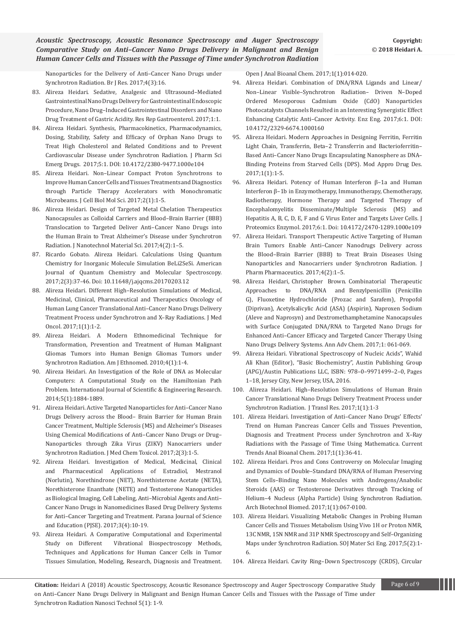[Nanoparticles for the Delivery of Anti–Cancer Nano Drugs under](http://www.imedpub.com/articles/treatment-of-breast-cancer-brain-metastases-through-a-targeted-nanomoleculedrug-delivery-system-based-on-dopamine-functionalized-m.pdf)  [Synchrotron Radiation. Br J Res. 2017;4\(3\):16.](http://www.imedpub.com/articles/treatment-of-breast-cancer-brain-metastases-through-a-targeted-nanomoleculedrug-delivery-system-based-on-dopamine-functionalized-m.pdf)

- 83. [Alireza Heidari. Sedative, Analgesic and Ultrasound–Mediated](https://www.scitechnol.com/peer-review/sedative-analgesic-and-ultrasoundmediated-gastrointestinal-nano-drugs-delivery-for-gastrointestinal-endoscopic-procedure-nano-drug-jke2.pdf)  [Gastrointestinal Nano Drugs Delivery for Gastrointestinal Endoscopic](https://www.scitechnol.com/peer-review/sedative-analgesic-and-ultrasoundmediated-gastrointestinal-nano-drugs-delivery-for-gastrointestinal-endoscopic-procedure-nano-drug-jke2.pdf)  [Procedure, Nano Drug–Induced Gastrointestinal Disorders and Nano](https://www.scitechnol.com/peer-review/sedative-analgesic-and-ultrasoundmediated-gastrointestinal-nano-drugs-delivery-for-gastrointestinal-endoscopic-procedure-nano-drug-jke2.pdf)  [Drug Treatment of Gastric Acidity. Res Rep Gastroenterol. 2017;1:1.](https://www.scitechnol.com/peer-review/sedative-analgesic-and-ultrasoundmediated-gastrointestinal-nano-drugs-delivery-for-gastrointestinal-endoscopic-procedure-nano-drug-jke2.pdf)
- 84. [Alireza Heidari. Synthesis, Pharmacokinetics, Pharmacodynamics,](https://www.scitechnol.com/peer-review/synthesis-pharmacokinetics-pharmacodynamics-dosing-stability-safety-and-efficacy-of-orphan-nano-drugs-to-treat-high-cholesterol-an-JlKV.pdf)  [Dosing, Stability, Safety and Efficacy of Orphan Nano Drugs to](https://www.scitechnol.com/peer-review/synthesis-pharmacokinetics-pharmacodynamics-dosing-stability-safety-and-efficacy-of-orphan-nano-drugs-to-treat-high-cholesterol-an-JlKV.pdf)  [Treat High Cholesterol and Related Conditions and to Prevent](https://www.scitechnol.com/peer-review/synthesis-pharmacokinetics-pharmacodynamics-dosing-stability-safety-and-efficacy-of-orphan-nano-drugs-to-treat-high-cholesterol-an-JlKV.pdf)  [Cardiovascular Disease under Synchrotron Radiation. J Pharm Sci](https://www.scitechnol.com/peer-review/synthesis-pharmacokinetics-pharmacodynamics-dosing-stability-safety-and-efficacy-of-orphan-nano-drugs-to-treat-high-cholesterol-an-JlKV.pdf)  [Emerg Drugs. 2017;5:1. DOI: 10.4172/2380-9477.1000e104](https://www.scitechnol.com/peer-review/synthesis-pharmacokinetics-pharmacodynamics-dosing-stability-safety-and-efficacy-of-orphan-nano-drugs-to-treat-high-cholesterol-an-JlKV.pdf)
- 85. [Alireza Heidari. Non–Linear Compact Proton Synchrotrons to](https://www.ommegaonline.org/article-details/Non%E2%80%93Linear-Compact-Proton-Synchrotrons-to-Improve-Human-Cancer-Cells-and-Tissues-Treatments-and-Diagnostics-through-Particle-Therapy-Accelerators-with-Monochromatic-Microbeams/1631)  [Improve Human Cancer Cells and Tissues Treatments and Diagnostics](https://www.ommegaonline.org/article-details/Non%E2%80%93Linear-Compact-Proton-Synchrotrons-to-Improve-Human-Cancer-Cells-and-Tissues-Treatments-and-Diagnostics-through-Particle-Therapy-Accelerators-with-Monochromatic-Microbeams/1631)  [through Particle Therapy Accelerators with Monochromatic](https://www.ommegaonline.org/article-details/Non%E2%80%93Linear-Compact-Proton-Synchrotrons-to-Improve-Human-Cancer-Cells-and-Tissues-Treatments-and-Diagnostics-through-Particle-Therapy-Accelerators-with-Monochromatic-Microbeams/1631)  [Microbeams. J Cell Biol Mol Sci. 2017;2\(1\):1-5](https://www.ommegaonline.org/article-details/Non%E2%80%93Linear-Compact-Proton-Synchrotrons-to-Improve-Human-Cancer-Cells-and-Tissues-Treatments-and-Diagnostics-through-Particle-Therapy-Accelerators-with-Monochromatic-Microbeams/1631).
- 86. [Alireza Heidari. Design of Targeted Metal Chelation Therapeutics](https://www.ommegaonline.org/article-details/Design%20of%20Targeted%20Metal%20Chelation%20Therapeutics%20Nanocapsules%20as%20Colloidal%20Carriers%20and%20Blood-Brain%20Barrier%20(BBB)%20Translocation%20to%20Targeted%20Deliver%20Anti-Cancer%20Nano%20Drugs%252)  [Nanocapsules as Colloidal Carriers and Blood–Brain Barrier \(BBB\)](https://www.ommegaonline.org/article-details/Design%20of%20Targeted%20Metal%20Chelation%20Therapeutics%20Nanocapsules%20as%20Colloidal%20Carriers%20and%20Blood-Brain%20Barrier%20(BBB)%20Translocation%20to%20Targeted%20Deliver%20Anti-Cancer%20Nano%20Drugs%252)  [Translocation to Targeted Deliver Anti–Cancer Nano Drugs into](https://www.ommegaonline.org/article-details/Design%20of%20Targeted%20Metal%20Chelation%20Therapeutics%20Nanocapsules%20as%20Colloidal%20Carriers%20and%20Blood-Brain%20Barrier%20(BBB)%20Translocation%20to%20Targeted%20Deliver%20Anti-Cancer%20Nano%20Drugs%252)  [the Human Brain to Treat Alzheimer's Disease under Synchrotron](https://www.ommegaonline.org/article-details/Design%20of%20Targeted%20Metal%20Chelation%20Therapeutics%20Nanocapsules%20as%20Colloidal%20Carriers%20and%20Blood-Brain%20Barrier%20(BBB)%20Translocation%20to%20Targeted%20Deliver%20Anti-Cancer%20Nano%20Drugs%252)  [Radiation. J Nanotechnol Material Sci. 2017;4\(2\):1–5.](https://www.ommegaonline.org/article-details/Design%20of%20Targeted%20Metal%20Chelation%20Therapeutics%20Nanocapsules%20as%20Colloidal%20Carriers%20and%20Blood-Brain%20Barrier%20(BBB)%20Translocation%20to%20Targeted%20Deliver%20Anti-Cancer%20Nano%20Drugs%252)
- 87. [Ricardo Gobato. Alireza Heidari. Calculations Using Quantum](https://www.researchgate.net/profile/Ricardo_Gobato/publication/319330189_Calculations_Using_Quantum_Chemistry_for_Inorganic_Molecule_Simulation_BeLi_2_SeSi/links/59a561ac0f7e9b348eb0002f/Calculations-Using-Quantum-Chemistry-for-Inorganic-Molecule-Simulati)  [Chemistry for Inorganic Molecule Simulation BeLi2SeSi. American](https://www.researchgate.net/profile/Ricardo_Gobato/publication/319330189_Calculations_Using_Quantum_Chemistry_for_Inorganic_Molecule_Simulation_BeLi_2_SeSi/links/59a561ac0f7e9b348eb0002f/Calculations-Using-Quantum-Chemistry-for-Inorganic-Molecule-Simulati)  [Journal of Quantum Chemistry and Molecular Spectroscopy.](https://www.researchgate.net/profile/Ricardo_Gobato/publication/319330189_Calculations_Using_Quantum_Chemistry_for_Inorganic_Molecule_Simulation_BeLi_2_SeSi/links/59a561ac0f7e9b348eb0002f/Calculations-Using-Quantum-Chemistry-for-Inorganic-Molecule-Simulati)  [2017;2\(3\):37-46. Doi: 10.11648/j.ajqcms.20170203.12](https://www.researchgate.net/profile/Ricardo_Gobato/publication/319330189_Calculations_Using_Quantum_Chemistry_for_Inorganic_Molecule_Simulation_BeLi_2_SeSi/links/59a561ac0f7e9b348eb0002f/Calculations-Using-Quantum-Chemistry-for-Inorganic-Molecule-Simulati)
- 88. [Alireza Heidari. Different High–Resolution Simulations of Medical,](http://www.imedpub.com/articles/highresolution-simulations-of-medical-medicinal-and-therapeutics-oncology-of-human-lung-cancer-translational-nano-drugs-delivery-t.pdf)  [Medicinal, Clinical, Pharmaceutical and Therapeutics Oncology of](http://www.imedpub.com/articles/highresolution-simulations-of-medical-medicinal-and-therapeutics-oncology-of-human-lung-cancer-translational-nano-drugs-delivery-t.pdf)  [Human Lung Cancer Translational Anti–Cancer Nano Drugs Delivery](http://www.imedpub.com/articles/highresolution-simulations-of-medical-medicinal-and-therapeutics-oncology-of-human-lung-cancer-translational-nano-drugs-delivery-t.pdf)  [Treatment Process under Synchrotron and X–Ray Radiations. J Med](http://www.imedpub.com/articles/highresolution-simulations-of-medical-medicinal-and-therapeutics-oncology-of-human-lung-cancer-translational-nano-drugs-delivery-t.pdf)  [Oncol. 2017;1\(1\):1-2.](http://www.imedpub.com/articles/highresolution-simulations-of-medical-medicinal-and-therapeutics-oncology-of-human-lung-cancer-translational-nano-drugs-delivery-t.pdf)
- 89. [Alireza Heidari. A Modern Ethnomedicinal Technique for](http://www.imedpub.com/articles/a-modern-ethnomedicinal-technique-fortransformation-prevention-and-treatmentof-human-malignant-gliomas-tumors-intohuman-benign-gli.pdf)  [Transformation, Prevention and Treatment of Human Malignant](http://www.imedpub.com/articles/a-modern-ethnomedicinal-technique-fortransformation-prevention-and-treatmentof-human-malignant-gliomas-tumors-intohuman-benign-gli.pdf)  [Gliomas Tumors into Human Benign Gliomas Tumors under](http://www.imedpub.com/articles/a-modern-ethnomedicinal-technique-fortransformation-prevention-and-treatmentof-human-malignant-gliomas-tumors-intohuman-benign-gli.pdf)  [Synchrotron Radiation. Am J Ethnomed. 2010;4\(1\):1-4.](http://www.imedpub.com/articles/a-modern-ethnomedicinal-technique-fortransformation-prevention-and-treatmentof-human-malignant-gliomas-tumors-intohuman-benign-gli.pdf)
- 90. [Alireza Heidari. An Investigation of the Role of DNA as Molecular](https://www.ijser.org/researchpaper/An-investigation-of-the-role-of-DNA-as-molecular-computers.pdf)  [Computers: A Computational Study on the Hamiltonian Path](https://www.ijser.org/researchpaper/An-investigation-of-the-role-of-DNA-as-molecular-computers.pdf)  [Problem. International Journal of Scientific & Engineering Research.](https://www.ijser.org/researchpaper/An-investigation-of-the-role-of-DNA-as-molecular-computers.pdf)  [2014;5\(1\):1884-1889.](https://www.ijser.org/researchpaper/An-investigation-of-the-role-of-DNA-as-molecular-computers.pdf)
- 91. [Alireza Heidari. Active Targeted Nanoparticles for Anti–Cancer Nano](https://www.ommegaonline.org/articles/publishimages/9776_Active-Targeted-Nanoparticles-for-Anti-Cancer-Nano-Drugs-Delivery-across-the-Blood-Brain-Barrier-for-Human-Brain-Cancer-Treatment-Multiple-Sclerosis.pdf)  [Drugs Delivery across the Blood– Brain Barrier for Human Brain](https://www.ommegaonline.org/articles/publishimages/9776_Active-Targeted-Nanoparticles-for-Anti-Cancer-Nano-Drugs-Delivery-across-the-Blood-Brain-Barrier-for-Human-Brain-Cancer-Treatment-Multiple-Sclerosis.pdf)  [Cancer Treatment, Multiple Sclerosis \(MS\) and Alzheimer's Diseases](https://www.ommegaonline.org/articles/publishimages/9776_Active-Targeted-Nanoparticles-for-Anti-Cancer-Nano-Drugs-Delivery-across-the-Blood-Brain-Barrier-for-Human-Brain-Cancer-Treatment-Multiple-Sclerosis.pdf)  [Using Chemical Modifications of Anti–Cancer Nano Drugs or Drug–](https://www.ommegaonline.org/articles/publishimages/9776_Active-Targeted-Nanoparticles-for-Anti-Cancer-Nano-Drugs-Delivery-across-the-Blood-Brain-Barrier-for-Human-Brain-Cancer-Treatment-Multiple-Sclerosis.pdf) [Nanoparticles through Zika Virus \(ZIKV\) Nanocarriers under](https://www.ommegaonline.org/articles/publishimages/9776_Active-Targeted-Nanoparticles-for-Anti-Cancer-Nano-Drugs-Delivery-across-the-Blood-Brain-Barrier-for-Human-Brain-Cancer-Treatment-Multiple-Sclerosis.pdf)  [Synchrotron Radiation. J Med Chem Toxicol. 2017;2\(3\):1-5.](https://www.ommegaonline.org/articles/publishimages/9776_Active-Targeted-Nanoparticles-for-Anti-Cancer-Nano-Drugs-Delivery-across-the-Blood-Brain-Barrier-for-Human-Brain-Cancer-Treatment-Multiple-Sclerosis.pdf)
- 92. [Alireza Heidari. Investigation of Medical, Medicinal, Clinical](https://drive.google.com/file/d/0BxkqIa7R4j_ReHpZNVlaS2JWZXM/view)  [and Pharmaceutical Applications of Estradiol, Mestranol](https://drive.google.com/file/d/0BxkqIa7R4j_ReHpZNVlaS2JWZXM/view)  [\(Norlutin\), Norethindrone \(NET\), Norethisterone Acetate \(NETA\),](https://drive.google.com/file/d/0BxkqIa7R4j_ReHpZNVlaS2JWZXM/view)  [Norethisterone Enanthate \(NETE\) and Testosterone Nanoparticles](https://drive.google.com/file/d/0BxkqIa7R4j_ReHpZNVlaS2JWZXM/view)  [as Biological Imaging, Cell Labeling, Anti–Microbial Agents and Anti–](https://drive.google.com/file/d/0BxkqIa7R4j_ReHpZNVlaS2JWZXM/view) [Cancer Nano Drugs in Nanomedicines Based Drug Delivery Systems](https://drive.google.com/file/d/0BxkqIa7R4j_ReHpZNVlaS2JWZXM/view)  [for Anti–Cancer Targeting and Treatment. Parana Journal of Science](https://drive.google.com/file/d/0BxkqIa7R4j_ReHpZNVlaS2JWZXM/view)  [and Education \(PJSE\). 2017;3\(4\):10-19.](https://drive.google.com/file/d/0BxkqIa7R4j_ReHpZNVlaS2JWZXM/view)
- 93. [Alireza Heidari. A Comparative Computational and Experimental](https://www.peertechz.com/articles/a-comparative-computational-and-experimental-study-on-different-vibrational-biospectroscopy-methods-techniques-and-applications-for-human-cancer-cells-in-tumor-tissues-simulation-modeling-research-diagnosis-and-treatment.)  [Study on Different Vibrational Biospectroscopy Methods,](https://www.peertechz.com/articles/a-comparative-computational-and-experimental-study-on-different-vibrational-biospectroscopy-methods-techniques-and-applications-for-human-cancer-cells-in-tumor-tissues-simulation-modeling-research-diagnosis-and-treatment.)  [Techniques and Applications for Human Cancer Cells in Tumor](https://www.peertechz.com/articles/a-comparative-computational-and-experimental-study-on-different-vibrational-biospectroscopy-methods-techniques-and-applications-for-human-cancer-cells-in-tumor-tissues-simulation-modeling-research-diagnosis-and-treatment.)  [Tissues Simulation, Modeling, Research, Diagnosis and Treatment.](https://www.peertechz.com/articles/a-comparative-computational-and-experimental-study-on-different-vibrational-biospectroscopy-methods-techniques-and-applications-for-human-cancer-cells-in-tumor-tissues-simulation-modeling-research-diagnosis-and-treatment.)

[Open J Anal Bioanal Chem. 2017;1\(1\):014-020.](https://www.peertechz.com/articles/a-comparative-computational-and-experimental-study-on-different-vibrational-biospectroscopy-methods-techniques-and-applications-for-human-cancer-cells-in-tumor-tissues-simulation-modeling-research-diagnosis-and-treatment.)

- 94. [Alireza Heidari. Combination of DNA/RNA Ligands and Linear/](https://www.omicsonline.org/open-access/combination-of-dnarna-ligands-and-linearnonlinear-visiblesynchrotron-radiationdriven-ndoped-ordered-mesoporouscadmium-oxide-cdo-na-2329-6674-1000160.pdf) [Non–Linear Visible–Synchrotron Radiation– Driven N–Doped](https://www.omicsonline.org/open-access/combination-of-dnarna-ligands-and-linearnonlinear-visiblesynchrotron-radiationdriven-ndoped-ordered-mesoporouscadmium-oxide-cdo-na-2329-6674-1000160.pdf)  [Ordered Mesoporous Cadmium Oxide \(CdO\) Nanoparticles](https://www.omicsonline.org/open-access/combination-of-dnarna-ligands-and-linearnonlinear-visiblesynchrotron-radiationdriven-ndoped-ordered-mesoporouscadmium-oxide-cdo-na-2329-6674-1000160.pdf)  [Photocatalysts Channels Resulted in an Interesting Synergistic Effect](https://www.omicsonline.org/open-access/combination-of-dnarna-ligands-and-linearnonlinear-visiblesynchrotron-radiationdriven-ndoped-ordered-mesoporouscadmium-oxide-cdo-na-2329-6674-1000160.pdf)  [Enhancing Catalytic Anti–Cancer Activity. Enz Eng. 2017;6:1. DOI:](https://www.omicsonline.org/open-access/combination-of-dnarna-ligands-and-linearnonlinear-visiblesynchrotron-radiationdriven-ndoped-ordered-mesoporouscadmium-oxide-cdo-na-2329-6674-1000160.pdf)  [10.4172/2329-6674.1000160](https://www.omicsonline.org/open-access/combination-of-dnarna-ligands-and-linearnonlinear-visiblesynchrotron-radiationdriven-ndoped-ordered-mesoporouscadmium-oxide-cdo-na-2329-6674-1000160.pdf)
- 95. [Alireza Heidari. Modern Approaches in Designing Ferritin, Ferritin](http://crimsonpublishers.com/madd/pdf/MADD.000504.pdf)  [Light Chain, Transferrin, Beta–2 Transferrin and Bacterioferritin–](http://crimsonpublishers.com/madd/pdf/MADD.000504.pdf) [Based Anti–Cancer Nano Drugs Encapsulating Nanosphere as DNA–](http://crimsonpublishers.com/madd/pdf/MADD.000504.pdf) [Binding Proteins from Starved Cells \(DPS\). Mod Appro Drug Des.](http://crimsonpublishers.com/madd/pdf/MADD.000504.pdf)  [2017;1\(1\):1-5.](http://crimsonpublishers.com/madd/pdf/MADD.000504.pdf)
- 96. [Alireza Heidari. Potency of Human Interferon β–1a and Human](https://www.scitechnol.com/peer-review/potency-of-human-interferon-1a-and-human-interferon-1b-in-enzymotherapy-immunotherapy-chemotherapy-radiotherapy-hormone-therapy-an-C0ib.php?article_id=6180)  [Interferon β–1b in Enzymotherapy, Immunotherapy, Chemotherapy,](https://www.scitechnol.com/peer-review/potency-of-human-interferon-1a-and-human-interferon-1b-in-enzymotherapy-immunotherapy-chemotherapy-radiotherapy-hormone-therapy-an-C0ib.php?article_id=6180)  [Radiotherapy, Hormone Therapy and Targeted Therapy of](https://www.scitechnol.com/peer-review/potency-of-human-interferon-1a-and-human-interferon-1b-in-enzymotherapy-immunotherapy-chemotherapy-radiotherapy-hormone-therapy-an-C0ib.php?article_id=6180)  [Encephalomyelitis Disseminate/Multiple Sclerosis \(MS\) and](https://www.scitechnol.com/peer-review/potency-of-human-interferon-1a-and-human-interferon-1b-in-enzymotherapy-immunotherapy-chemotherapy-radiotherapy-hormone-therapy-an-C0ib.php?article_id=6180)  [Hepatitis A, B, C, D, E, F and G Virus Enter and Targets Liver Cells. J](https://www.scitechnol.com/peer-review/potency-of-human-interferon-1a-and-human-interferon-1b-in-enzymotherapy-immunotherapy-chemotherapy-radiotherapy-hormone-therapy-an-C0ib.php?article_id=6180)  [Proteomics Enzymol. 2017;6:1. Doi: 10.4172/2470-1289.1000e109](https://www.scitechnol.com/peer-review/potency-of-human-interferon-1a-and-human-interferon-1b-in-enzymotherapy-immunotherapy-chemotherapy-radiotherapy-hormone-therapy-an-C0ib.php?article_id=6180)
- 97. [Alireza Heidari. Transport Therapeutic Active Targeting of Human](https://www.ommegaonline.org/article-details/Transport-Therapeutic-Active-Targeting-of-Human-Brain-Tumors-Enable-Anti-Cancer-Nanodrugs-Delivery-across-the-Blood-Brain-Barrier-(BBB)-to-Treat-Brain-Diseases-Using-Nanoparticles-and-Nanocarriers-under-Synchrot)  [Brain Tumors Enable Anti–Cancer Nanodrugs Delivery across](https://www.ommegaonline.org/article-details/Transport-Therapeutic-Active-Targeting-of-Human-Brain-Tumors-Enable-Anti-Cancer-Nanodrugs-Delivery-across-the-Blood-Brain-Barrier-(BBB)-to-Treat-Brain-Diseases-Using-Nanoparticles-and-Nanocarriers-under-Synchrot)  [the Blood–Brain Barrier \(BBB\) to Treat Brain Diseases Using](https://www.ommegaonline.org/article-details/Transport-Therapeutic-Active-Targeting-of-Human-Brain-Tumors-Enable-Anti-Cancer-Nanodrugs-Delivery-across-the-Blood-Brain-Barrier-(BBB)-to-Treat-Brain-Diseases-Using-Nanoparticles-and-Nanocarriers-under-Synchrot)  [Nanoparticles and Nanocarriers under Synchrotron Radiation. J](https://www.ommegaonline.org/article-details/Transport-Therapeutic-Active-Targeting-of-Human-Brain-Tumors-Enable-Anti-Cancer-Nanodrugs-Delivery-across-the-Blood-Brain-Barrier-(BBB)-to-Treat-Brain-Diseases-Using-Nanoparticles-and-Nanocarriers-under-Synchrot)  [Pharm Pharmaceutics. 2017;4\(2\):1–5.](https://www.ommegaonline.org/article-details/Transport-Therapeutic-Active-Targeting-of-Human-Brain-Tumors-Enable-Anti-Cancer-Nanodrugs-Delivery-across-the-Blood-Brain-Barrier-(BBB)-to-Treat-Brain-Diseases-Using-Nanoparticles-and-Nanocarriers-under-Synchrot)
- 98. [Alireza Heidari, Christopher Brown. Combinatorial Therapeutic](https://www.heighpubs.org/hjc/pdf/aac-aid1008.pdf)  [Approaches to DNA/RNA and Benzylpenicillin \(Penicillin](https://www.heighpubs.org/hjc/pdf/aac-aid1008.pdf)  [G\), Fluoxetine Hydrochloride \(Prozac and Sarafem\), Propofol](https://www.heighpubs.org/hjc/pdf/aac-aid1008.pdf)  [\(Diprivan\), Acetylsalicylic Acid \(ASA\) \(Aspirin\), Naproxen Sodium](https://www.heighpubs.org/hjc/pdf/aac-aid1008.pdf)  [\(Aleve and Naprosyn\) and Dextromethamphetamine Nanocapsules](https://www.heighpubs.org/hjc/pdf/aac-aid1008.pdf)  [with Surface Conjugated DNA/RNA to Targeted Nano Drugs for](https://www.heighpubs.org/hjc/pdf/aac-aid1008.pdf)  [Enhanced Anti–Cancer Efficacy and Targeted Cancer Therapy Using](https://www.heighpubs.org/hjc/pdf/aac-aid1008.pdf)  [Nano Drugs Delivery Systems. Ann Adv Chem. 2017;1: 061-069.](https://www.heighpubs.org/hjc/pdf/aac-aid1008.pdf)
- 99. [Alireza Heidari. Vibrational Spectroscopy of Nucleic Acids", Wahid](http://austinpublishinggroup.com/ebooks/basic-biochemistry/chapters/BBC-16-06.pdf)  [Ali Khan \(Editor\), "Basic Biochemistry", Austin Publishing Group](http://austinpublishinggroup.com/ebooks/basic-biochemistry/chapters/BBC-16-06.pdf)  [\(APG\)/Austin Publications LLC, ISBN: 978–0–9971499–2–0, Pages](http://austinpublishinggroup.com/ebooks/basic-biochemistry/chapters/BBC-16-06.pdf)  [1–18, Jersey City, New Jersey, USA, 2016.](http://austinpublishinggroup.com/ebooks/basic-biochemistry/chapters/BBC-16-06.pdf)
- 100. [Alireza Heidari. High–Resolution Simulations of Human Brain](http://www.alliedacademies.org/articles/highresolution-simulations-of-human-brain-cancer-translational-nano-drugs-delivery-treatment-process-under-synchrotron-radiation.p.pdf)  [Cancer Translational Nano Drugs Delivery Treatment Process under](http://www.alliedacademies.org/articles/highresolution-simulations-of-human-brain-cancer-translational-nano-drugs-delivery-treatment-process-under-synchrotron-radiation.p.pdf)  [Synchrotron Radiation. J Transl Res. 2017;1\(1\):1-3](http://www.alliedacademies.org/articles/highresolution-simulations-of-human-brain-cancer-translational-nano-drugs-delivery-treatment-process-under-synchrotron-radiation.p.pdf)
- 101. [Alireza Heidari. Investigation of Anti–Cancer Nano Drugs' Effects'](http://thescipages.org/Articles/analytical-and-bioanalytical-chemistry/ctabc-1-005.pdf)  [Trend on Human Pancreas Cancer Cells and Tissues Prevention,](http://thescipages.org/Articles/analytical-and-bioanalytical-chemistry/ctabc-1-005.pdf)  [Diagnosis and Treatment Process under Synchrotron and X–Ray](http://thescipages.org/Articles/analytical-and-bioanalytical-chemistry/ctabc-1-005.pdf)  [Radiations with the Passage of Time Using Mathematica. Current](http://thescipages.org/Articles/analytical-and-bioanalytical-chemistry/ctabc-1-005.pdf)  [Trends Anal Bioanal Chem. 2017;1\(1\):36-41.](http://thescipages.org/Articles/analytical-and-bioanalytical-chemistry/ctabc-1-005.pdf)
- 102. [Alireza Heidari. Pros and Cons Controversy on Molecular Imaging](https://www.heighpubs.org/hjb/pdf/abb-aid1007.pdf)  [and Dynamics of Double–Standard DNA/RNA of Human Preserving](https://www.heighpubs.org/hjb/pdf/abb-aid1007.pdf)  [Stem Cells–Binding Nano Molecules with Androgens/Anabolic](https://www.heighpubs.org/hjb/pdf/abb-aid1007.pdf)  [Steroids \(AAS\) or Testosterone Derivatives through Tracking of](https://www.heighpubs.org/hjb/pdf/abb-aid1007.pdf)  [Helium–4 Nucleus \(Alpha Particle\) Using Synchrotron Radiation.](https://www.heighpubs.org/hjb/pdf/abb-aid1007.pdf)  [Arch Biotechnol Biomed. 2017;1\(1\):067-0100.](https://www.heighpubs.org/hjb/pdf/abb-aid1007.pdf)
- 103. [Alireza Heidari. Visualizing Metabolic Changes in Probing Human](https://symbiosisonlinepublishing.com/materialsscience-engineering/materialsscience-engineering50.pdf)  [Cancer Cells and Tissues Metabolism Using Vivo 1H or Proton NMR,](https://symbiosisonlinepublishing.com/materialsscience-engineering/materialsscience-engineering50.pdf)  [13C NMR, 15N NMR and 31P NMR Spectroscopy and Self–Organizing](https://symbiosisonlinepublishing.com/materialsscience-engineering/materialsscience-engineering50.pdf)  [Maps under Synchrotron Radiation. SOJ Mater Sci Eng. 2017;5\(2\):1-](https://symbiosisonlinepublishing.com/materialsscience-engineering/materialsscience-engineering50.pdf) [6.](https://symbiosisonlinepublishing.com/materialsscience-engineering/materialsscience-engineering50.pdf)
- 104. Alireza Heidari. Cavity Ring–Down Spectroscopy (CRDS), Circular

**Citation:** Heidari A (2018) Acoustic Spectroscopy, Acoustic Resonance Spectroscopy and Auger Spectroscopy Comparative Study Page 6 of 9 on Anti–Cancer Nano Drugs Delivery in Malignant and Benign Human Cancer Cells and Tissues with the Passage of Time under Synchrotron Radiation Nanosci Technol 5(1): 1-9.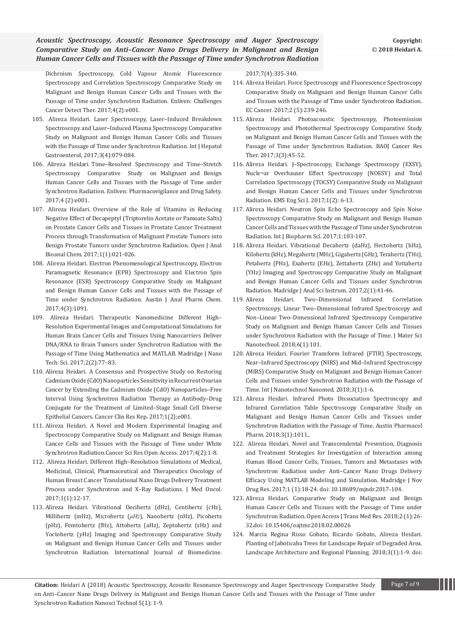Dichroism Spectroscopy, Cold Vapour Atomic Fluorescence Spectroscopy and Correlation Spectroscopy Comparative Study on Malignant and Benign Human Cancer Cells and Tissues with the Passage of Time under Synchrotron Radiation. Enliven: Challenges Cancer Detect Ther. 2017;4(2):e001.

- 105. [Alireza Heidari. Laser Spectroscopy, Laser–Induced Breakdown](http://www.scireslit.com/Gastroenterology/IJHG-ID30.pdf)  [Spectroscopy and Laser–Induced Plasma Spectroscopy Comparative](http://www.scireslit.com/Gastroenterology/IJHG-ID30.pdf)  [Study on Malignant and Benign Human Cancer Cells and Tissues](http://www.scireslit.com/Gastroenterology/IJHG-ID30.pdf)  [with the Passage of Time under Synchrotron Radiation. Int J Hepatol](http://www.scireslit.com/Gastroenterology/IJHG-ID30.pdf)  [Gastroenterol, 2017;3\(4\):079-084.](http://www.scireslit.com/Gastroenterology/IJHG-ID30.pdf)
- 106. Alireza Heidari. Time–Resolved Spectroscopy and Time–Stretch Spectroscopy Comparative Study on Malignant and Benign Human Cancer Cells and Tissues with the Passage of Time under Synchrotron Radiation. Enliven: Pharmacovigilance and Drug Safety. 2017;4 (2):e001.
- 107. Alireza Heidari. Overview of the Role of Vitamins in Reducing Negative Effect of Decapeptyl (Triptorelin Acetate or Pamoate Salts) on Prostate Cancer Cells and Tissues in Prostate Cancer Treatment Process through Transformation of Malignant Prostate Tumors into Benign Prostate Tumors under Synchrotron Radiation. Open J Anal Bioanal Chem. 2017;1(1):021-026.
- 108. Alireza Heidari. Electron Phenomenological Spectroscopy, Electron Paramagnetic Resonance (EPR) Spectroscopy and Electron Spin Resonance (ESR) Spectroscopy Comparative Study on Malignant and Benign Human Cancer Cells and Tissues with the Passage of Time under Synchrotron Radiation. Austin J Anal Pharm Chem. 2017;4(3):1091.
- 109. Alireza Heidari. Therapeutic Nanomedicine Different High– Resolution Experimental Images and Computational Simulations for Human Brain Cancer Cells and Tissues Using Nanocarriers Deliver DNA/RNA to Brain Tumors under Synchrotron Radiation with the Passage of Time Using Mathematica and MATLAB. Madridge J Nano Tech. Sci. 2017;2(2):77–83.
- 110. [Alireza Heidari. A Consensus and Prospective Study on Restoring](http://www.bibliotics.org/articles/a-consensus-and-prospective-study-on-restoring-cadmium-oxide-cdo-nanoparticles-sensitivity-in-recurrent-ovarian-cancer-by-extendin.pdf)  [Cadmium Oxide \(CdO\) Nanoparticles Sensitivity in Recurrent Ovarian](http://www.bibliotics.org/articles/a-consensus-and-prospective-study-on-restoring-cadmium-oxide-cdo-nanoparticles-sensitivity-in-recurrent-ovarian-cancer-by-extendin.pdf)  [Cancer by Extending the Cadmium Oxide \(CdO\) Nanoparticles–Free](http://www.bibliotics.org/articles/a-consensus-and-prospective-study-on-restoring-cadmium-oxide-cdo-nanoparticles-sensitivity-in-recurrent-ovarian-cancer-by-extendin.pdf)  [Interval Using Synchrotron Radiation Therapy as Antibody–Drug](http://www.bibliotics.org/articles/a-consensus-and-prospective-study-on-restoring-cadmium-oxide-cdo-nanoparticles-sensitivity-in-recurrent-ovarian-cancer-by-extendin.pdf)  [Conjugate for the Treatment of Limited–Stage Small Cell Diverse](http://www.bibliotics.org/articles/a-consensus-and-prospective-study-on-restoring-cadmium-oxide-cdo-nanoparticles-sensitivity-in-recurrent-ovarian-cancer-by-extendin.pdf)  [Epithelial Cancers. Cancer Clin Res Rep. 2017;1\(2\);e001.](http://www.bibliotics.org/articles/a-consensus-and-prospective-study-on-restoring-cadmium-oxide-cdo-nanoparticles-sensitivity-in-recurrent-ovarian-cancer-by-extendin.pdf)
- 111. Alireza Heidari. A Novel and Modern Experimental Imaging and Spectroscopy Comparative Study on Malignant and Benign Human Cancer Cells and Tissues with the Passage of Time under White Synchrotron Radiation.Cancer Sci Res Open Access. 2017;4(2):1-8.
- 112. [Alireza Heidari. Different High–Resolution Simulations of Medical,](http://www.imedpub.com/articles/highresolution-simulations-of-medical-medicinal-and-therapeutics-oncology-of-human-lung-cancer-translational-nano-drugs-delivery-t.pdf)  [Medicinal, Clinical, Pharmaceutical and Therapeutics Oncology of](http://www.imedpub.com/articles/highresolution-simulations-of-medical-medicinal-and-therapeutics-oncology-of-human-lung-cancer-translational-nano-drugs-delivery-t.pdf)  [Human Breast Cancer Translational Nano Drugs Delivery Treatment](http://www.imedpub.com/articles/highresolution-simulations-of-medical-medicinal-and-therapeutics-oncology-of-human-lung-cancer-translational-nano-drugs-delivery-t.pdf)  [Process under Synchrotron and X–Ray Radiations. J Med Oncol.](http://www.imedpub.com/articles/highresolution-simulations-of-medical-medicinal-and-therapeutics-oncology-of-human-lung-cancer-translational-nano-drugs-delivery-t.pdf)  [2017;1\(1\):12-17.](http://www.imedpub.com/articles/highresolution-simulations-of-medical-medicinal-and-therapeutics-oncology-of-human-lung-cancer-translational-nano-drugs-delivery-t.pdf)
- 113. [Alireza Heidari. Vibrational Decihertz \(dHz\), Centihertz \(cHz\),](http://www.ijbm.org/articles/IJBM_7(4)_IA1.pdf)  [Millihertz \(mHz\), Microhertz \(](http://www.ijbm.org/articles/IJBM_7(4)_IA1.pdf)*μHz*), Nanohertz (nHz), Picohertz [\(pHz\), Femtohertz \(fHz\), Attohertz \(aHz\), Zeptohertz \(zHz\) and](http://www.ijbm.org/articles/IJBM_7(4)_IA1.pdf)  [Yoctohertz \(yHz\) Imaging and Spectroscopy Comparative Study](http://www.ijbm.org/articles/IJBM_7(4)_IA1.pdf)  [on Malignant and Benign Human Cancer Cells and Tissues under](http://www.ijbm.org/articles/IJBM_7(4)_IA1.pdf)  [Synchrotron Radiation. International Journal of Biomedicine.](http://www.ijbm.org/articles/IJBM_7(4)_IA1.pdf)

[2017;7\(4\):335-340.](http://www.ijbm.org/articles/IJBM_7(4)_IA1.pdf)

- 114. Alireza Heidari. Force Spectroscopy and Fluorescence Spectroscopy Comparative Study on Malignant and Benign Human Cancer Cells and Tissues with the Passage of Time under Synchrotron Radiation. EC Cancer. 2017;2 (5):239-246.
- 115. Alireza Heidari. Photoacoustic Spectroscopy, Photoemission Spectroscopy and Photothermal Spectroscopy Comparative Study on Malignant and Benign Human Cancer Cells and Tissues with the Passage of Time under Synchrotron Radiation. BAOJ Cancer Res Ther. 2017;3(3):45-52.
- 116. Alireza Heidari. J–Spectroscopy, Exchange Spectroscopy (EXSY), Nucle¬ar Overhauser Effect Spectroscopy (NOESY) and Total Correlation Spectroscopy (TOCSY) Comparative Study on Malignant and Benign Human Cancer Cells and Tissues under Synchrotron Radiation. EMS Eng Sci J. 2017;1(2): 6-13.
- 117. [Alireza Heidari. Neutron Spin Echo Spectroscopy and Spin Noise](https://www.boffinaccess.com/open-access-journals/international-journal-of-biopharmaceutical-sciences/neutron-spin-echo-spectroscopy-and-spin-noise-spectroscopy-comparative-study-ijbs-1-103.php)  [Spectroscopy Comparative Study on Malignant and Benign Human](https://www.boffinaccess.com/open-access-journals/international-journal-of-biopharmaceutical-sciences/neutron-spin-echo-spectroscopy-and-spin-noise-spectroscopy-comparative-study-ijbs-1-103.php)  [Cancer Cells and Tissues with the Passage of Time under Synchrotron](https://www.boffinaccess.com/open-access-journals/international-journal-of-biopharmaceutical-sciences/neutron-spin-echo-spectroscopy-and-spin-noise-spectroscopy-comparative-study-ijbs-1-103.php)  [Radiation. Int J Biopharm Sci. 2017;1:103-107.](https://www.boffinaccess.com/open-access-journals/international-journal-of-biopharmaceutical-sciences/neutron-spin-echo-spectroscopy-and-spin-noise-spectroscopy-comparative-study-ijbs-1-103.php)
- 118. [Alireza Heidari. Vibrational Decahertz \(daHz\), Hectohertz \(hHz\),](http://madridge.org/journal-of-analytical-sciences-and-instrumentation/MJAI-2-1000109.pdf)  [Kilohertz \(kHz\), Megahertz \(MHz\), Gigahertz \(GHz\), Terahertz \(THz\),](http://madridge.org/journal-of-analytical-sciences-and-instrumentation/MJAI-2-1000109.pdf)  [Petahertz \(PHz\), Exahertz \(EHz\), Zettahertz \(ZHz\) and Yottahertz](http://madridge.org/journal-of-analytical-sciences-and-instrumentation/MJAI-2-1000109.pdf)  [\(YHz\) Imaging and Spectroscopy Comparative Study on Malignant](http://madridge.org/journal-of-analytical-sciences-and-instrumentation/MJAI-2-1000109.pdf)  [and Benign Human Cancer Cells and Tissues under Synchrotron](http://madridge.org/journal-of-analytical-sciences-and-instrumentation/MJAI-2-1000109.pdf)  [Radiation. Madridge J Anal Sci Instrum. 2017;2\(1\):41-46.](http://madridge.org/journal-of-analytical-sciences-and-instrumentation/MJAI-2-1000109.pdf)
- 119. [Alireza Heidari. Two–Dimensional Infrared Correlation](http://www.annexpublishers.co/articles/JMSN/6101-Two-Dimensional-Infrared-Correlation-Spectroscopy-Linear.pdf)  [Spectroscopy, Linear Two–Dimensional Infrared Spectroscopy and](http://www.annexpublishers.co/articles/JMSN/6101-Two-Dimensional-Infrared-Correlation-Spectroscopy-Linear.pdf)  [Non–Linear Two–Dimensional Infrared Spectroscopy Comparative](http://www.annexpublishers.co/articles/JMSN/6101-Two-Dimensional-Infrared-Correlation-Spectroscopy-Linear.pdf)  [Study on Malignant and Benign Human Cancer Cells and Tissues](http://www.annexpublishers.co/articles/JMSN/6101-Two-Dimensional-Infrared-Correlation-Spectroscopy-Linear.pdf)  [under Synchrotron Radiation with the Passage of Time. J Mater Sci](http://www.annexpublishers.co/articles/JMSN/6101-Two-Dimensional-Infrared-Correlation-Spectroscopy-Linear.pdf)  [Nanotechnol. 2018;6\(1\):101.](http://www.annexpublishers.co/articles/JMSN/6101-Two-Dimensional-Infrared-Correlation-Spectroscopy-Linear.pdf)
- 120. [Alireza Heidari. Fourier Transform Infrared \(FTIR\) Spectroscopy,](http://www.opastonline.com/wp-content/uploads/2018/01/fourier-transform-infrared-spectroscopy-near-infrared-spectroscopy-mid-infrared-spectroscopy-comparative-study-on-malignant-benign-human-cancer-cells-tissues-ijnn-18-001.pdf)  [Near–Infrared Spectroscopy \(NIRS\) and Mid–Infrared Spectroscopy](http://www.opastonline.com/wp-content/uploads/2018/01/fourier-transform-infrared-spectroscopy-near-infrared-spectroscopy-mid-infrared-spectroscopy-comparative-study-on-malignant-benign-human-cancer-cells-tissues-ijnn-18-001.pdf)  [\(MIRS\) Comparative Study on Malignant and Benign Human Cancer](http://www.opastonline.com/wp-content/uploads/2018/01/fourier-transform-infrared-spectroscopy-near-infrared-spectroscopy-mid-infrared-spectroscopy-comparative-study-on-malignant-benign-human-cancer-cells-tissues-ijnn-18-001.pdf)  [Cells and Tissues under Synchrotron Radiation with the Passage of](http://www.opastonline.com/wp-content/uploads/2018/01/fourier-transform-infrared-spectroscopy-near-infrared-spectroscopy-mid-infrared-spectroscopy-comparative-study-on-malignant-benign-human-cancer-cells-tissues-ijnn-18-001.pdf)  [Time. Int J Nanotechnol Nanomed. 2018;3\(1\):1-6.](http://www.opastonline.com/wp-content/uploads/2018/01/fourier-transform-infrared-spectroscopy-near-infrared-spectroscopy-mid-infrared-spectroscopy-comparative-study-on-malignant-benign-human-cancer-cells-tissues-ijnn-18-001.pdf)
- 121. Alireza Heidari. Infrared Photo Dissociation Spectroscopy and Infrared Correlation Table Spectroscopy Comparative Study on Malignant and Benign Human Cancer Cells and Tissues under Synchrotron Radiation with the Passage of Time. Austin Pharmacol Pharm. 2018;3(1):1011,.
- 122. [Alireza Heidari. Novel and Transcendental Prevention, Diagnosis](http://madridge.org/journal-of-novel-drug-research/MJNDR-1-1000103.pdf)  [and Treatment Strategies for Investigation of Interaction among](http://madridge.org/journal-of-novel-drug-research/MJNDR-1-1000103.pdf)  [Human Blood Cancer Cells, Tissues, Tumors and Metastases with](http://madridge.org/journal-of-novel-drug-research/MJNDR-1-1000103.pdf)  [Synchrotron Radiation under Anti–Cancer Nano Drugs Delivery](http://madridge.org/journal-of-novel-drug-research/MJNDR-1-1000103.pdf)  [Efficacy Using MATLAB Modeling and Simulation. Madridge J Nov](http://madridge.org/journal-of-novel-drug-research/MJNDR-1-1000103.pdf)  Drug Res. 2017;1 (1):18-24. [doi: 10.18689/mjndr.2017-104](http://madridge.org/journal-of-novel-drug-research/MJNDR-1-1000103.pdf).
- 123. [Alireza Heidari. Comparative Study on Malignant and Benign](http://medcraveonline.com/OAJTMR/OAJTMR-02-00026.pdf)  [Human Cancer Cells and Tissues with the Passage of Time under](http://medcraveonline.com/OAJTMR/OAJTMR-02-00026.pdf)  [Synchrotron Radiation. Open Access J Trans Med Res. 2018;2 \(1\):26-](http://medcraveonline.com/OAJTMR/OAJTMR-02-00026.pdf) [32.doi: 10.15406/oajtmr.2018.02.00026](http://medcraveonline.com/OAJTMR/OAJTMR-02-00026.pdf)
- 124. [Marcia Regina Risso Gobato, Ricardo Gobato, Alireza Heidari.](https://www.researchgate.net/profile/Ricardo_Gobato/publication/322594328_Planting_of_Jaboticaba_Trees_for_Landscape_Repair_of_Degraded_Area/links/5a61dcefa6fdccb61c504844/Planting-of-Jaboticaba-Trees-for-Landscape-Repair-of-Degraded-Area.pdf)  [Planting of Jaboticaba Trees for Landscape Repair of Degraded Area.](https://www.researchgate.net/profile/Ricardo_Gobato/publication/322594328_Planting_of_Jaboticaba_Trees_for_Landscape_Repair_of_Degraded_Area/links/5a61dcefa6fdccb61c504844/Planting-of-Jaboticaba-Trees-for-Landscape-Repair-of-Degraded-Area.pdf)  [Landscape Architecture and Regional Planning. 2018;3\(1\):1-9.](https://www.researchgate.net/profile/Ricardo_Gobato/publication/322594328_Planting_of_Jaboticaba_Trees_for_Landscape_Repair_of_Degraded_Area/links/5a61dcefa6fdccb61c504844/Planting-of-Jaboticaba-Trees-for-Landscape-Repair-of-Degraded-Area.pdf) doi:

**Citation:** Heidari A (2018) Acoustic Spectroscopy, Acoustic Resonance Spectroscopy and Auger Spectroscopy Comparative Study Page 7 of 9 on Anti–Cancer Nano Drugs Delivery in Malignant and Benign Human Cancer Cells and Tissues with the Passage of Time under Synchrotron Radiation Nanosci Technol 5(1): 1-9.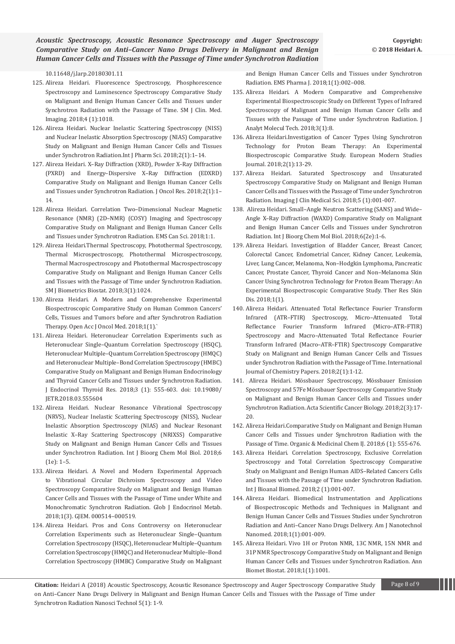[10.11648/j.larp.20180301.11](https://www.researchgate.net/profile/Ricardo_Gobato/publication/322594328_Planting_of_Jaboticaba_Trees_for_Landscape_Repair_of_Degraded_Area/links/5a61dcefa6fdccb61c504844/Planting-of-Jaboticaba-Trees-for-Landscape-Repair-of-Degraded-Area.pdf)

- 125. Alireza Heidari. Fluorescence Spectroscopy, Phosphorescence Spectroscopy and Luminescence Spectroscopy Comparative Study on Malignant and Benign Human Cancer Cells and Tissues under Synchrotron Radiation with the Passage of Time. SM J Clin. Med. Imaging. 2018;4 (1):1018.
- 126. Alireza Heidari. Nuclear Inelastic Scattering Spectroscopy (NISS) and Nuclear Inelastic Absorption Spectroscopy (NIAS) Comparative Study on Malignant and Benign Human Cancer Cells and Tissues under Synchrotron Radiation.Int J Pharm Sci. 2018;2(1):1–14.
- 127. Alireza Heidari. X–Ray Diffraction (XRD), Powder X–Ray Diffraction (PXRD) and Energy–Dispersive X–Ray Diffraction (EDXRD) Comparative Study on Malignant and Benign Human Cancer Cells and Tissues under Synchrotron Radiation. J Oncol Res. 2018;2(1):1– 14.
- 128. Alireza Heidari. Correlation Two–Dimensional Nuclear Magnetic Resonance (NMR) (2D–NMR) (COSY) Imaging and Spectroscopy Comparative Study on Malignant and Benign Human Cancer Cells and Tissues under Synchrotron Radiation. EMS Can Sci. 2018;1:1.
- 129. Alireza Heidari.Thermal Spectroscopy, Photothermal Spectroscopy, Thermal Microspectroscopy, Photothermal Microspectroscopy, Thermal Macrospectroscopy and Photothermal Macrospectroscopy Comparative Study on Malignant and Benign Human Cancer Cells and Tissues with the Passage of Time under Synchrotron Radiation. SM J Biometrics Biostat. 2018;3(1):1024.
- 130. [Alireza Heidari. A Modern and Comprehensive Experimental](http://www.lupinepublishers.com/oajom/pdf/OAJOM.MS.ID.000104.pdf)  [Biospectroscopic Comparative Study on Human Common Cancers'](http://www.lupinepublishers.com/oajom/pdf/OAJOM.MS.ID.000104.pdf)  [Cells, Tissues and Tumors before and after Synchrotron Radiation](http://www.lupinepublishers.com/oajom/pdf/OAJOM.MS.ID.000104.pdf)  [Therapy. Open Acc J Oncol Med. 2018;1\(1\).`](http://www.lupinepublishers.com/oajom/pdf/OAJOM.MS.ID.000104.pdf)
- 131. [Alireza Heidari. Heteronuclear Correlation Experiments such as](https://juniperpublishers.com/jetr/pdf/JETR.MS.ID.555604.pdf)  [Heteronuclear Single–Quantum Correlation Spectroscopy \(HSQC\),](https://juniperpublishers.com/jetr/pdf/JETR.MS.ID.555604.pdf)  [Heteronuclear Multiple–Quantum Correlation Spectroscopy \(HMQC\)](https://juniperpublishers.com/jetr/pdf/JETR.MS.ID.555604.pdf)  [and Heteronuclear Multiple–Bond Correlation Spectroscopy \(HMBC\)](https://juniperpublishers.com/jetr/pdf/JETR.MS.ID.555604.pdf)  [Comparative Study on Malignant and Benign Human Endocrinology](https://juniperpublishers.com/jetr/pdf/JETR.MS.ID.555604.pdf)  [and Thyroid Cancer Cells and Tissues under Synchrotron Radiation.](https://juniperpublishers.com/jetr/pdf/JETR.MS.ID.555604.pdf)  [J Endocrinol Thyroid Res. 2018;3 \(1\): 555-603.](https://juniperpublishers.com/jetr/pdf/JETR.MS.ID.555604.pdf) doi: 10.19080/ [JETR.2018.03.555604](https://juniperpublishers.com/jetr/pdf/JETR.MS.ID.555604.pdf)
- 132. [Alireza Heidari. Nuclear Resonance Vibrational Spectroscopy](https://scidoc.org/IJBCMB-2332-2756-06-001e.php)  [\(NRVS\), Nuclear Inelastic Scattering Spectroscopy \(NISS\), Nuclear](https://scidoc.org/IJBCMB-2332-2756-06-001e.php)  [Inelastic Absorption Spectroscopy \(NIAS\) and Nuclear Resonant](https://scidoc.org/IJBCMB-2332-2756-06-001e.php)  [Inelastic X–Ray Scattering Spectroscopy \(NRIXSS\) Comparative](https://scidoc.org/IJBCMB-2332-2756-06-001e.php)  [Study on Malignant and Benign Human Cancer Cells and Tissues](https://scidoc.org/IJBCMB-2332-2756-06-001e.php)  [under Synchrotron Radiation. Int J Bioorg Chem Mol Biol. 2018;6](https://scidoc.org/IJBCMB-2332-2756-06-001e.php)  [\(1e\): 1–5.](https://scidoc.org/IJBCMB-2332-2756-06-001e.php)
- 133. [Alireza Heidari. A Novel and Modern Experimental Approach](http://crimsonpublishers.com/gjem/pdf/GJEM.000514.pdf)  [to Vibrational Circular Dichroism Spectroscopy and Video](http://crimsonpublishers.com/gjem/pdf/GJEM.000514.pdf)  [Spectroscopy Comparative Study on Malignant and Benign Human](http://crimsonpublishers.com/gjem/pdf/GJEM.000514.pdf)  [Cancer Cells and Tissues with the Passage of Time under White and](http://crimsonpublishers.com/gjem/pdf/GJEM.000514.pdf)  [Monochromatic Synchrotron Radiation. Glob J Endocrinol Metab.](http://crimsonpublishers.com/gjem/pdf/GJEM.000514.pdf)  [2018;1\(3\). GJEM. 000514–000519.](http://crimsonpublishers.com/gjem/pdf/GJEM.000514.pdf)
- 134. Alireza Heidari. Pros and Cons Controversy on Heteronuclear Correlation Experiments such as Heteronuclear Single–Quantum Correlation Spectroscopy (HSQC), Heteronuclear Multiple–Quantum Correlation Spectroscopy (HMQC) and Heteronuclear Multiple–Bond Correlation Spectroscopy (HMBC) Comparative Study on Malignant

and Benign Human Cancer Cells and Tissues under Synchrotron Radiation. EMS Pharma J. 2018;1(1):002–008.

- 135. [Alireza Heidari. A Modern Comparative and Comprehensive](http://www.avensonline.org/wp-content/uploads/JAMT-2474-1914-03-0007.pdf)  [Experimental Biospectroscopic Study on Different Types of Infrared](http://www.avensonline.org/wp-content/uploads/JAMT-2474-1914-03-0007.pdf)  [Spectroscopy of Malignant and Benign Human Cancer Cells and](http://www.avensonline.org/wp-content/uploads/JAMT-2474-1914-03-0007.pdf)  [Tissues with the Passage of Time under Synchrotron Radiation. J](http://www.avensonline.org/wp-content/uploads/JAMT-2474-1914-03-0007.pdf)  [Analyt Molecul Tech. 2018;3\(1\):8.](http://www.avensonline.org/wp-content/uploads/JAMT-2474-1914-03-0007.pdf)
- 136. [Alireza Heidari.Investigation of Cancer Types Using Synchrotron](http://journal-ems.com/index.php/emsj/article/view/29)  [Technology for Proton Beam Therapy: An Experimental](http://journal-ems.com/index.php/emsj/article/view/29)  [Biospectroscopic Comparative Study. European Modern Studies](http://journal-ems.com/index.php/emsj/article/view/29)  [Journal. 2018;2\(1\):13-29.](http://journal-ems.com/index.php/emsj/article/view/29)
- 137. [Alireza Heidari. Saturated Spectroscopy and Unsaturated](https://www.peertechz.com/articles/saturated-spectroscopy-and-unsaturated-spectroscopy-comparative-study-on-malignant-and-benign-human-cancer-cells-and-tissues-with-the-passage-of-time-under-synchrotron-radiation.pdf)  [Spectroscopy Comparative Study on Malignant and Benign Human](https://www.peertechz.com/articles/saturated-spectroscopy-and-unsaturated-spectroscopy-comparative-study-on-malignant-and-benign-human-cancer-cells-and-tissues-with-the-passage-of-time-under-synchrotron-radiation.pdf)  [Cancer Cells and Tissues with the Passage of Time under Synchrotron](https://www.peertechz.com/articles/saturated-spectroscopy-and-unsaturated-spectroscopy-comparative-study-on-malignant-and-benign-human-cancer-cells-and-tissues-with-the-passage-of-time-under-synchrotron-radiation.pdf)  [Radiation. Imaging J Clin Medical Sci. 2018;5 \(1\):001-007.](https://www.peertechz.com/articles/saturated-spectroscopy-and-unsaturated-spectroscopy-comparative-study-on-malignant-and-benign-human-cancer-cells-and-tissues-with-the-passage-of-time-under-synchrotron-radiation.pdf)
- 138. [Alireza Heidari. Small–Angle Neutron Scattering \(SANS\) and Wide–](https://scidoc.org/IJBCMB-2332-2756-06-002e.php) [Angle X–Ray Diffraction \(WAXD\) Comparative Study on Malignant](https://scidoc.org/IJBCMB-2332-2756-06-002e.php)  [and Benign Human Cancer Cells and Tissues under Synchrotron](https://scidoc.org/IJBCMB-2332-2756-06-002e.php)  [Radiation. Int J Bioorg Chem Mol Biol. 2018;6\(2e\):1-6.](https://scidoc.org/IJBCMB-2332-2756-06-002e.php)
- 139. [Alireza Heidari. Investigation of Bladder Cancer, Breast Cancer,](http://www.lupinepublishers.com/trsd/pdf/TRSD.MS.ID.000102.pdf)  [Colorectal Cancer, Endometrial Cancer, Kidney Cancer, Leukemia,](http://www.lupinepublishers.com/trsd/pdf/TRSD.MS.ID.000102.pdf)  [Liver, Lung Cancer, Melanoma, Non–Hodgkin Lymphoma, Pancreatic](http://www.lupinepublishers.com/trsd/pdf/TRSD.MS.ID.000102.pdf)  [Cancer, Prostate Cancer, Thyroid Cancer and Non–Melanoma Skin](http://www.lupinepublishers.com/trsd/pdf/TRSD.MS.ID.000102.pdf)  [Cancer Using Synchrotron Technology for Proton Beam Therapy: An](http://www.lupinepublishers.com/trsd/pdf/TRSD.MS.ID.000102.pdf)  [Experimental Biospectroscopic Comparative Study. Ther Res Skin](http://www.lupinepublishers.com/trsd/pdf/TRSD.MS.ID.000102.pdf)  [Dis. 2018;1\(1\).](http://www.lupinepublishers.com/trsd/pdf/TRSD.MS.ID.000102.pdf)
- 140. [Alireza Heidari. Attenuated Total Reflectance Fourier Transform](https://juniperpublishers.com/omcij/pdf/OMCIJ.MS.ID.555677.pdf)  [Infrared \(ATR–FTIR\) Spectroscopy, Micro–Attenuated Total](https://juniperpublishers.com/omcij/pdf/OMCIJ.MS.ID.555677.pdf)  [Reflectance Fourier Transform Infrared \(Micro–ATR–FTIR\)](https://juniperpublishers.com/omcij/pdf/OMCIJ.MS.ID.555677.pdf)  [Spectroscopy and Macro–Attenuated Total Reflectance Fourier](https://juniperpublishers.com/omcij/pdf/OMCIJ.MS.ID.555677.pdf)  [Transform Infrared \(Macro–ATR–FTIR\) Spectroscopy Comparative](https://juniperpublishers.com/omcij/pdf/OMCIJ.MS.ID.555677.pdf)  [Study on Malignant and Benign Human Cancer Cells and Tissues](https://juniperpublishers.com/omcij/pdf/OMCIJ.MS.ID.555677.pdf)  [under Synchrotron Radiation with the Passage of Time. International](https://juniperpublishers.com/omcij/pdf/OMCIJ.MS.ID.555677.pdf)  [Journal of Chemistry Papers. 2018;2\(1\):1-12.](https://juniperpublishers.com/omcij/pdf/OMCIJ.MS.ID.555677.pdf)
- 141. [Alireza Heidari. Mössbauer Spectroscopy, Mössbauer Emission](https://actascientific.com/ASCB/pdf/ASCB-02-0030.pdf)  [Spectroscopy and 57Fe Mössbauer Spectroscopy Comparative Study](https://actascientific.com/ASCB/pdf/ASCB-02-0030.pdf)  [on Malignant and Benign Human Cancer Cells and Tissues under](https://actascientific.com/ASCB/pdf/ASCB-02-0030.pdf)  [Synchrotron Radiation. Acta Scientific Cancer Biology. 2018;2\(3\):17-](https://actascientific.com/ASCB/pdf/ASCB-02-0030.pdf) [20.](https://actascientific.com/ASCB/pdf/ASCB-02-0030.pdf)
- 142. [Alireza Heidari.Comparative Study on Malignant and Benign Human](http://medcraveonline.com/OAJTMR/OAJTMR-02-00026.pdf)  [Cancer Cells and Tissues under Synchrotron Radiation with the](http://medcraveonline.com/OAJTMR/OAJTMR-02-00026.pdf)  [Passage of Time. Organic & Medicinal Chem IJ. 2018;6 \(1\): 555-676.](http://medcraveonline.com/OAJTMR/OAJTMR-02-00026.pdf)
- 143. [Alireza Heidari. Correlation Spectroscopy, Exclusive Correlation](http://www.scireslit.com/Bioanalysis/IJBB-ID12.pdf)  [Spectroscopy and Total Correlation Spectroscopy Comparative](http://www.scireslit.com/Bioanalysis/IJBB-ID12.pdf)  [Study on Malignant and Benign Human AIDS–Related Cancers Cells](http://www.scireslit.com/Bioanalysis/IJBB-ID12.pdf)  [and Tissues with the Passage of Time under Synchrotron Radiation.](http://www.scireslit.com/Bioanalysis/IJBB-ID12.pdf)  [Int J Bioanal Biomed. 2018;2 \(1\):001-007.](http://www.scireslit.com/Bioanalysis/IJBB-ID12.pdf)
- 144. [Alireza Heidari. Biomedical Instrumentation and Applications](http://www.scireslit.com/Nanotechnology/AJNN-ID11.pdf)  [of Biospectroscopic Methods and Techniques in Malignant and](http://www.scireslit.com/Nanotechnology/AJNN-ID11.pdf)  [Benign Human Cancer Cells and Tissues Studies under Synchrotron](http://www.scireslit.com/Nanotechnology/AJNN-ID11.pdf)  [Radiation and Anti–Cancer Nano Drugs Delivery. Am J Nanotechnol](http://www.scireslit.com/Nanotechnology/AJNN-ID11.pdf)  [Nanomed. 2018;1\(1\):001-009.](http://www.scireslit.com/Nanotechnology/AJNN-ID11.pdf)
- 145. Alireza Heidari. Vivo 1H or Proton NMR, 13C NMR, 15N NMR and 31P NMR Spectroscopy Comparative Study on Malignant and Benign Human Cancer Cells and Tissues under Synchrotron Radiation. Ann Biomet Biostat. 2018;1(1):1001.

**Citation:** Heidari A (2018) Acoustic Spectroscopy, Acoustic Resonance Spectroscopy and Auger Spectroscopy Comparative Study Page 8 of 9 on Anti–Cancer Nano Drugs Delivery in Malignant and Benign Human Cancer Cells and Tissues with the Passage of Time under Synchrotron Radiation Nanosci Technol 5(1): 1-9.